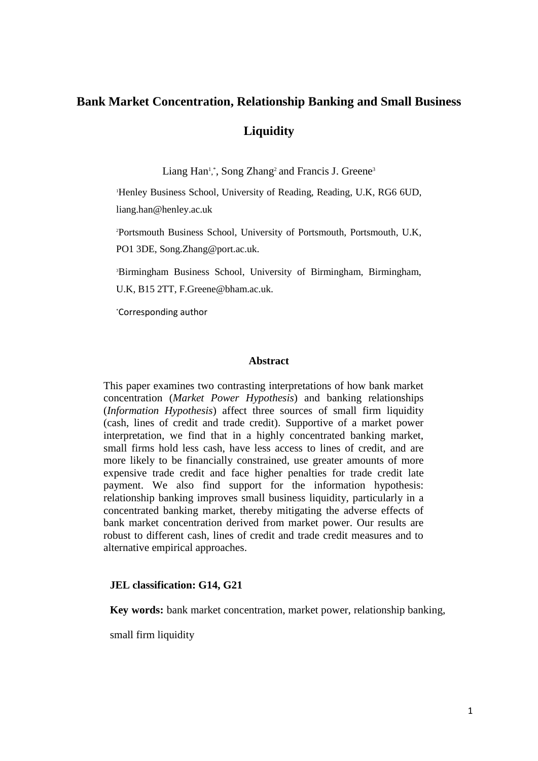# **Bank Market Concentration, Relationship Banking and Small Business Liquidity**

Liang Han<sup>1</sup>,\*, Song Zhang<sup>2</sup> and Francis J. Greene<sup>3</sup>

<sup>1</sup>Henley Business School, University of Reading, Reading, U.K, RG6 6UD, liang.han@henley.ac.uk

<sup>2</sup>Portsmouth Business School, University of Portsmouth, Portsmouth, U.K, PO1 3DE, Song.Zhang@port.ac.uk.

<sup>3</sup>Birmingham Business School, University of Birmingham, Birmingham, U.K, B15 2TT, F.Greene@bham.ac.uk.

\*Corresponding author

# **Abstract**

This paper examines two contrasting interpretations of how bank market concentration (*Market Power Hypothesis*) and banking relationships (*Information Hypothesis*) affect three sources of small firm liquidity (cash, lines of credit and trade credit). Supportive of a market power interpretation, we find that in a highly concentrated banking market, small firms hold less cash, have less access to lines of credit, and are more likely to be financially constrained, use greater amounts of more expensive trade credit and face higher penalties for trade credit late payment. We also find support for the information hypothesis: relationship banking improves small business liquidity, particularly in a concentrated banking market, thereby mitigating the adverse effects of bank market concentration derived from market power. Our results are robust to different cash, lines of credit and trade credit measures and to alternative empirical approaches.

## **JEL classification: G14, G21**

**Key words:** bank market concentration, market power, relationship banking,

small firm liquidity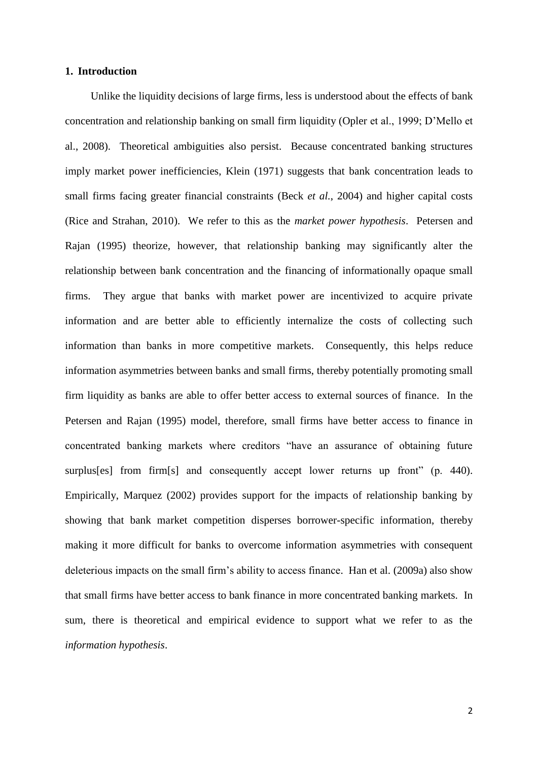## **1. Introduction**

Unlike the liquidity decisions of large firms, less is understood about the effects of bank concentration and relationship banking on small firm liquidity (Opler et al., 1999; D'Mello et al., 2008). Theoretical ambiguities also persist. Because concentrated banking structures imply market power inefficiencies, Klein (1971) suggests that bank concentration leads to small firms facing greater financial constraints (Beck *et al.*, 2004) and higher capital costs (Rice and Strahan, 2010). We refer to this as the *market power hypothesis*. Petersen and Rajan (1995) theorize, however, that relationship banking may significantly alter the relationship between bank concentration and the financing of informationally opaque small firms. They argue that banks with market power are incentivized to acquire private information and are better able to efficiently internalize the costs of collecting such information than banks in more competitive markets. Consequently, this helps reduce information asymmetries between banks and small firms, thereby potentially promoting small firm liquidity as banks are able to offer better access to external sources of finance. In the Petersen and Rajan (1995) model, therefore, small firms have better access to finance in concentrated banking markets where creditors "have an assurance of obtaining future surplus[es] from firm[s] and consequently accept lower returns up front" (p. 440). Empirically, Marquez (2002) provides support for the impacts of relationship banking by showing that bank market competition disperses borrower-specific information, thereby making it more difficult for banks to overcome information asymmetries with consequent deleterious impacts on the small firm's ability to access finance. Han et al. (2009a) also show that small firms have better access to bank finance in more concentrated banking markets. In sum, there is theoretical and empirical evidence to support what we refer to as the *information hypothesis*.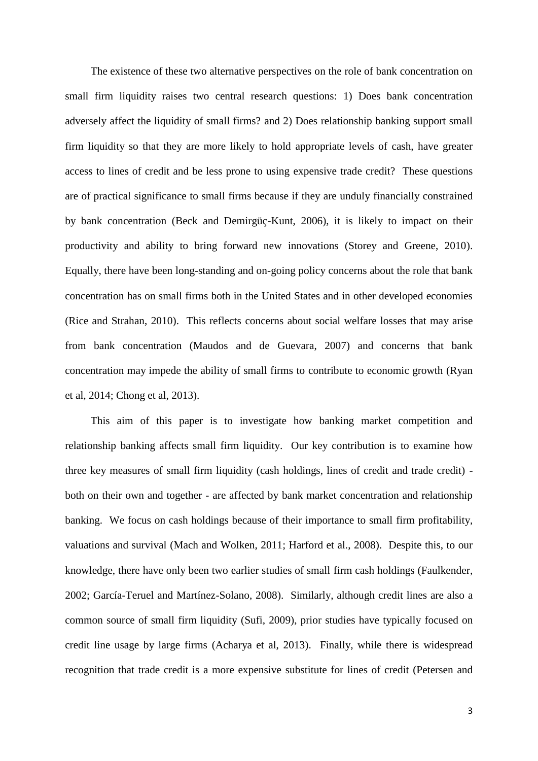The existence of these two alternative perspectives on the role of bank concentration on small firm liquidity raises two central research questions: 1) Does bank concentration adversely affect the liquidity of small firms? and 2) Does relationship banking support small firm liquidity so that they are more likely to hold appropriate levels of cash, have greater access to lines of credit and be less prone to using expensive trade credit? These questions are of practical significance to small firms because if they are unduly financially constrained by bank concentration (Beck and Demirgüç-Kunt, 2006), it is likely to impact on their productivity and ability to bring forward new innovations (Storey and Greene, 2010). Equally, there have been long-standing and on-going policy concerns about the role that bank concentration has on small firms both in the United States and in other developed economies (Rice and Strahan, 2010). This reflects concerns about social welfare losses that may arise from bank concentration (Maudos and de Guevara, 2007) and concerns that bank concentration may impede the ability of small firms to contribute to economic growth (Ryan et al, 2014; Chong et al, 2013).

This aim of this paper is to investigate how banking market competition and relationship banking affects small firm liquidity. Our key contribution is to examine how three key measures of small firm liquidity (cash holdings, lines of credit and trade credit) both on their own and together - are affected by bank market concentration and relationship banking. We focus on cash holdings because of their importance to small firm profitability, valuations and survival (Mach and Wolken, 2011; Harford et al., 2008). Despite this, to our knowledge, there have only been two earlier studies of small firm cash holdings (Faulkender, 2002; García-Teruel and Martínez-Solano, 2008). Similarly, although credit lines are also a common source of small firm liquidity (Sufi, 2009), prior studies have typically focused on credit line usage by large firms (Acharya et al, 2013). Finally, while there is widespread recognition that trade credit is a more expensive substitute for lines of credit (Petersen and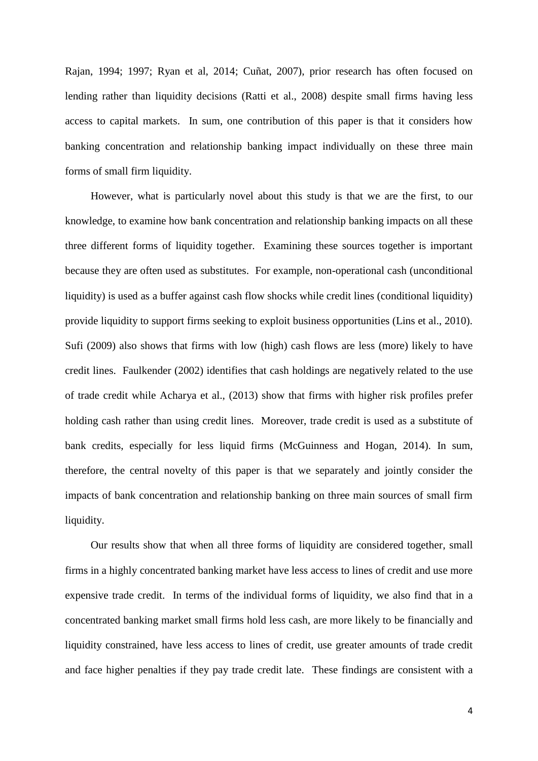Rajan, 1994; 1997; Ryan et al, 2014; Cuñat, 2007), prior research has often focused on lending rather than liquidity decisions (Ratti et al., 2008) despite small firms having less access to capital markets. In sum, one contribution of this paper is that it considers how banking concentration and relationship banking impact individually on these three main forms of small firm liquidity.

However, what is particularly novel about this study is that we are the first, to our knowledge, to examine how bank concentration and relationship banking impacts on all these three different forms of liquidity together. Examining these sources together is important because they are often used as substitutes. For example, non-operational cash (unconditional liquidity) is used as a buffer against cash flow shocks while credit lines (conditional liquidity) provide liquidity to support firms seeking to exploit business opportunities (Lins et al., 2010). Sufi (2009) also shows that firms with low (high) cash flows are less (more) likely to have credit lines. Faulkender (2002) identifies that cash holdings are negatively related to the use of trade credit while Acharya et al., (2013) show that firms with higher risk profiles prefer holding cash rather than using credit lines. Moreover, trade credit is used as a substitute of bank credits, especially for less liquid firms (McGuinness and Hogan, 2014). In sum, therefore, the central novelty of this paper is that we separately and jointly consider the impacts of bank concentration and relationship banking on three main sources of small firm liquidity.

Our results show that when all three forms of liquidity are considered together, small firms in a highly concentrated banking market have less access to lines of credit and use more expensive trade credit. In terms of the individual forms of liquidity, we also find that in a concentrated banking market small firms hold less cash, are more likely to be financially and liquidity constrained, have less access to lines of credit, use greater amounts of trade credit and face higher penalties if they pay trade credit late. These findings are consistent with a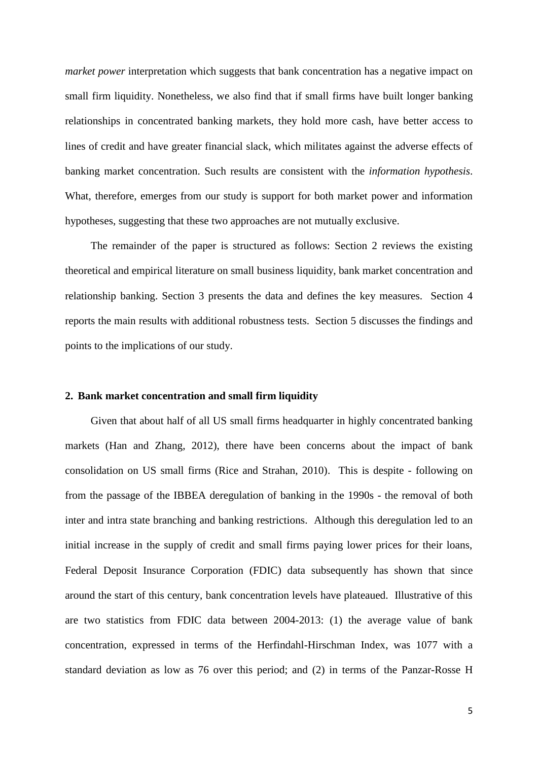*market power* interpretation which suggests that bank concentration has a negative impact on small firm liquidity. Nonetheless, we also find that if small firms have built longer banking relationships in concentrated banking markets, they hold more cash, have better access to lines of credit and have greater financial slack, which militates against the adverse effects of banking market concentration. Such results are consistent with the *information hypothesis*. What, therefore, emerges from our study is support for both market power and information hypotheses, suggesting that these two approaches are not mutually exclusive.

The remainder of the paper is structured as follows: Section 2 reviews the existing theoretical and empirical literature on small business liquidity, bank market concentration and relationship banking. Section 3 presents the data and defines the key measures. Section 4 reports the main results with additional robustness tests. Section 5 discusses the findings and points to the implications of our study.

#### **2. Bank market concentration and small firm liquidity**

Given that about half of all US small firms headquarter in highly concentrated banking markets (Han and Zhang, 2012), there have been concerns about the impact of bank consolidation on US small firms (Rice and Strahan, 2010). This is despite - following on from the passage of the IBBEA deregulation of banking in the 1990s - the removal of both inter and intra state branching and banking restrictions. Although this deregulation led to an initial increase in the supply of credit and small firms paying lower prices for their loans, Federal Deposit Insurance Corporation (FDIC) data subsequently has shown that since around the start of this century, bank concentration levels have plateaued. Illustrative of this are two statistics from FDIC data between 2004-2013: (1) the average value of bank concentration, expressed in terms of the Herfindahl-Hirschman Index, was 1077 with a standard deviation as low as 76 over this period; and (2) in terms of the Panzar-Rosse H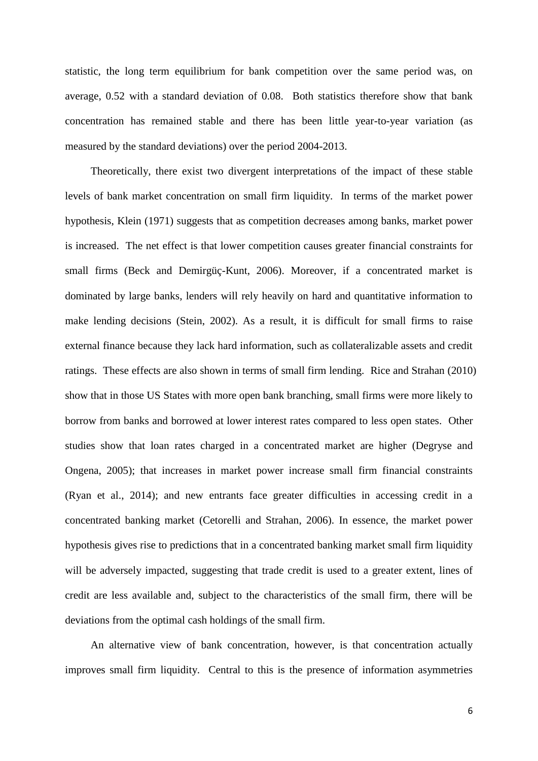statistic, the long term equilibrium for bank competition over the same period was, on average, 0.52 with a standard deviation of 0.08. Both statistics therefore show that bank concentration has remained stable and there has been little year-to-year variation (as measured by the standard deviations) over the period 2004-2013.

Theoretically, there exist two divergent interpretations of the impact of these stable levels of bank market concentration on small firm liquidity. In terms of the market power hypothesis, Klein (1971) suggests that as competition decreases among banks, market power is increased. The net effect is that lower competition causes greater financial constraints for small firms (Beck and Demirgüç-Kunt, 2006). Moreover, if a concentrated market is dominated by large banks, lenders will rely heavily on hard and quantitative information to make lending decisions (Stein, 2002). As a result, it is difficult for small firms to raise external finance because they lack hard information, such as collateralizable assets and credit ratings. These effects are also shown in terms of small firm lending. Rice and Strahan (2010) show that in those US States with more open bank branching, small firms were more likely to borrow from banks and borrowed at lower interest rates compared to less open states. Other studies show that loan rates charged in a concentrated market are higher (Degryse and Ongena, 2005); that increases in market power increase small firm financial constraints (Ryan et al., 2014); and new entrants face greater difficulties in accessing credit in a concentrated banking market (Cetorelli and Strahan, 2006). In essence, the market power hypothesis gives rise to predictions that in a concentrated banking market small firm liquidity will be adversely impacted, suggesting that trade credit is used to a greater extent, lines of credit are less available and, subject to the characteristics of the small firm, there will be deviations from the optimal cash holdings of the small firm.

An alternative view of bank concentration, however, is that concentration actually improves small firm liquidity. Central to this is the presence of information asymmetries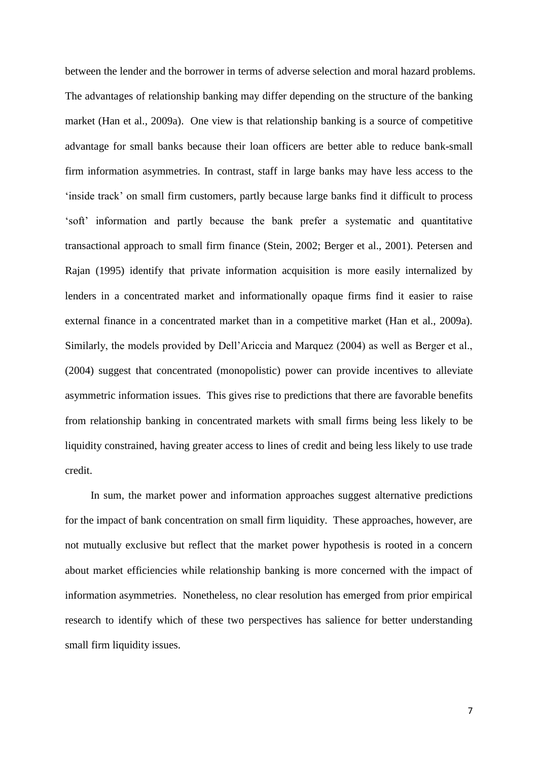between the lender and the borrower in terms of adverse selection and moral hazard problems. The advantages of relationship banking may differ depending on the structure of the banking market (Han et al., 2009a). One view is that relationship banking is a source of competitive advantage for small banks because their loan officers are better able to reduce bank-small firm information asymmetries. In contrast, staff in large banks may have less access to the 'inside track' on small firm customers, partly because large banks find it difficult to process 'soft' information and partly because the bank prefer a systematic and quantitative transactional approach to small firm finance (Stein, 2002; Berger et al., 2001). Petersen and Rajan (1995) identify that private information acquisition is more easily internalized by lenders in a concentrated market and informationally opaque firms find it easier to raise external finance in a concentrated market than in a competitive market (Han et al., 2009a). Similarly, the models provided by Dell'Ariccia and Marquez (2004) as well as Berger et al., (2004) suggest that concentrated (monopolistic) power can provide incentives to alleviate asymmetric information issues. This gives rise to predictions that there are favorable benefits from relationship banking in concentrated markets with small firms being less likely to be liquidity constrained, having greater access to lines of credit and being less likely to use trade credit.

In sum, the market power and information approaches suggest alternative predictions for the impact of bank concentration on small firm liquidity. These approaches, however, are not mutually exclusive but reflect that the market power hypothesis is rooted in a concern about market efficiencies while relationship banking is more concerned with the impact of information asymmetries. Nonetheless, no clear resolution has emerged from prior empirical research to identify which of these two perspectives has salience for better understanding small firm liquidity issues.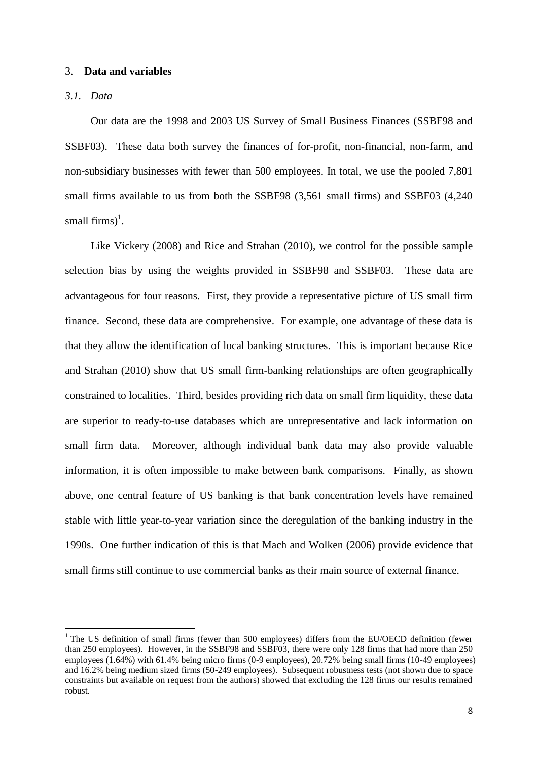#### 3. **Data and variables**

## *3.1. Data*

1

Our data are the 1998 and 2003 US Survey of Small Business Finances (SSBF98 and SSBF03). These data both survey the finances of for-profit, non-financial, non-farm, and non-subsidiary businesses with fewer than 500 employees. In total, we use the pooled 7,801 small firms available to us from both the SSBF98 (3,561 small firms) and SSBF03 (4,240 small firms)<sup>1</sup>.

Like Vickery (2008) and Rice and Strahan (2010), we control for the possible sample selection bias by using the weights provided in SSBF98 and SSBF03. These data are advantageous for four reasons. First, they provide a representative picture of US small firm finance. Second, these data are comprehensive. For example, one advantage of these data is that they allow the identification of local banking structures. This is important because Rice and Strahan (2010) show that US small firm-banking relationships are often geographically constrained to localities. Third, besides providing rich data on small firm liquidity, these data are superior to ready-to-use databases which are unrepresentative and lack information on small firm data. Moreover, although individual bank data may also provide valuable information, it is often impossible to make between bank comparisons. Finally, as shown above, one central feature of US banking is that bank concentration levels have remained stable with little year-to-year variation since the deregulation of the banking industry in the 1990s. One further indication of this is that Mach and Wolken (2006) provide evidence that small firms still continue to use commercial banks as their main source of external finance.

<sup>&</sup>lt;sup>1</sup> The US definition of small firms (fewer than 500 employees) differs from the EU/OECD definition (fewer than 250 employees). However, in the SSBF98 and SSBF03, there were only 128 firms that had more than 250 employees (1.64%) with 61.4% being micro firms (0-9 employees), 20.72% being small firms (10-49 employees) and 16.2% being medium sized firms (50-249 employees). Subsequent robustness tests (not shown due to space constraints but available on request from the authors) showed that excluding the 128 firms our results remained robust.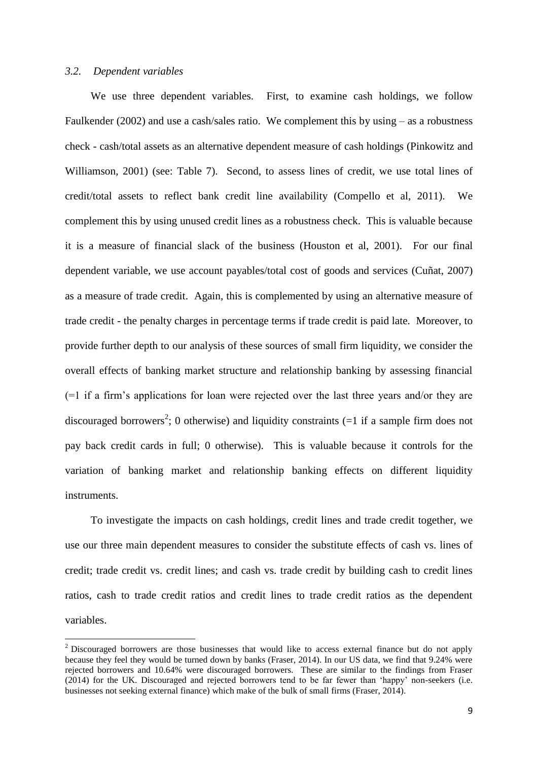#### *3.2. Dependent variables*

**.** 

We use three dependent variables. First, to examine cash holdings, we follow Faulkender (2002) and use a cash/sales ratio. We complement this by using – as a robustness check - cash/total assets as an alternative dependent measure of cash holdings (Pinkowitz and Williamson, 2001) (see: Table 7). Second, to assess lines of credit, we use total lines of credit/total assets to reflect bank credit line availability (Compello et al, 2011). We complement this by using unused credit lines as a robustness check. This is valuable because it is a measure of financial slack of the business (Houston et al, 2001). For our final dependent variable, we use account payables/total cost of goods and services (Cuñat, 2007) as a measure of trade credit. Again, this is complemented by using an alternative measure of trade credit - the penalty charges in percentage terms if trade credit is paid late. Moreover, to provide further depth to our analysis of these sources of small firm liquidity, we consider the overall effects of banking market structure and relationship banking by assessing financial (=1 if a firm's applications for loan were rejected over the last three years and/or they are discouraged borrowers<sup>2</sup>; 0 otherwise) and liquidity constraints  $(=1 \text{ if a sample firm does not})$ pay back credit cards in full; 0 otherwise). This is valuable because it controls for the variation of banking market and relationship banking effects on different liquidity instruments.

To investigate the impacts on cash holdings, credit lines and trade credit together, we use our three main dependent measures to consider the substitute effects of cash vs. lines of credit; trade credit vs. credit lines; and cash vs. trade credit by building cash to credit lines ratios, cash to trade credit ratios and credit lines to trade credit ratios as the dependent variables.

<sup>&</sup>lt;sup>2</sup> Discouraged borrowers are those businesses that would like to access external finance but do not apply because they feel they would be turned down by banks (Fraser, 2014). In our US data, we find that 9.24% were rejected borrowers and 10.64% were discouraged borrowers. These are similar to the findings from Fraser (2014) for the UK. Discouraged and rejected borrowers tend to be far fewer than 'happy' non-seekers (i.e. businesses not seeking external finance) which make of the bulk of small firms (Fraser, 2014).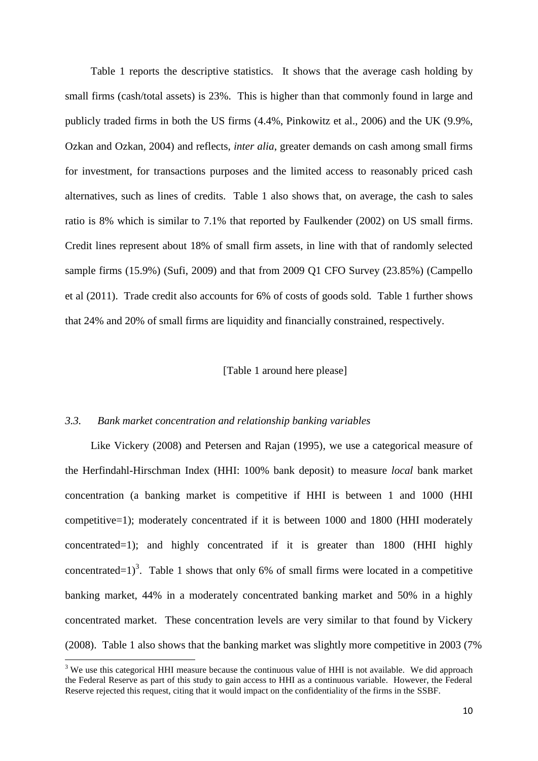Table 1 reports the descriptive statistics. It shows that the average cash holding by small firms (cash/total assets) is 23%. This is higher than that commonly found in large and publicly traded firms in both the US firms (4.4%, Pinkowitz et al., 2006) and the UK (9.9%, Ozkan and Ozkan, 2004) and reflects, *inter alia*, greater demands on cash among small firms for investment, for transactions purposes and the limited access to reasonably priced cash alternatives, such as lines of credits. Table 1 also shows that, on average, the cash to sales ratio is 8% which is similar to 7.1% that reported by Faulkender (2002) on US small firms. Credit lines represent about 18% of small firm assets, in line with that of randomly selected sample firms (15.9%) (Sufi, 2009) and that from 2009 Q1 CFO Survey (23.85%) (Campello et al (2011). Trade credit also accounts for 6% of costs of goods sold. Table 1 further shows that 24% and 20% of small firms are liquidity and financially constrained, respectively.

## [Table 1 around here please]

#### *3.3. Bank market concentration and relationship banking variables*

1

Like Vickery (2008) and Petersen and Rajan (1995), we use a categorical measure of the Herfindahl-Hirschman Index (HHI: 100% bank deposit) to measure *local* bank market concentration (a banking market is competitive if HHI is between 1 and 1000 (HHI competitive=1); moderately concentrated if it is between 1000 and 1800 (HHI moderately concentrated=1); and highly concentrated if it is greater than 1800 (HHI highly concentrated=1)<sup>3</sup>. Table 1 shows that only 6% of small firms were located in a competitive banking market, 44% in a moderately concentrated banking market and 50% in a highly concentrated market. These concentration levels are very similar to that found by Vickery (2008). Table 1 also shows that the banking market was slightly more competitive in 2003 (7%

 $3$  We use this categorical HHI measure because the continuous value of HHI is not available. We did approach the Federal Reserve as part of this study to gain access to HHI as a continuous variable. However, the Federal Reserve rejected this request, citing that it would impact on the confidentiality of the firms in the SSBF.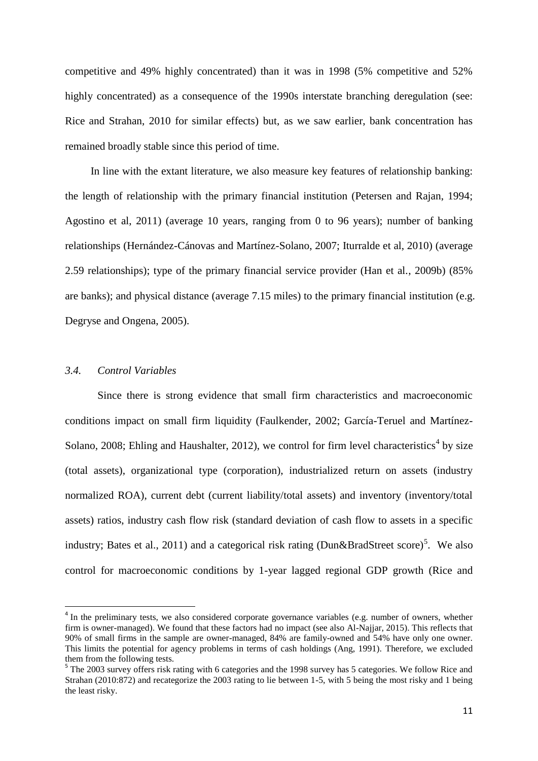competitive and 49% highly concentrated) than it was in 1998 (5% competitive and 52% highly concentrated) as a consequence of the 1990s interstate branching deregulation (see: Rice and Strahan, 2010 for similar effects) but, as we saw earlier, bank concentration has remained broadly stable since this period of time.

In line with the extant literature, we also measure key features of relationship banking: the length of relationship with the primary financial institution (Petersen and Rajan, 1994; Agostino et al, 2011) (average 10 years, ranging from 0 to 96 years); number of banking relationships (Hernández-Cánovas and Martínez-Solano, 2007; Iturralde et al, 2010) (average 2.59 relationships); type of the primary financial service provider (Han et al*.*, 2009b) (85% are banks); and physical distance (average 7.15 miles) to the primary financial institution (e.g. Degryse and Ongena, 2005).

## *3.4. Control Variables*

1

Since there is strong evidence that small firm characteristics and macroeconomic conditions impact on small firm liquidity (Faulkender, 2002; García-Teruel and Martínez-Solano, 2008; Ehling and Haushalter, 2012), we control for firm level characteristics<sup>4</sup> by size (total assets), organizational type (corporation), industrialized return on assets (industry normalized ROA), current debt (current liability/total assets) and inventory (inventory/total assets) ratios, industry cash flow risk (standard deviation of cash flow to assets in a specific industry; Bates et al., 2011) and a categorical risk rating (Dun&BradStreet score)<sup>5</sup>. We also control for macroeconomic conditions by 1-year lagged regional GDP growth (Rice and

<sup>&</sup>lt;sup>4</sup> In the preliminary tests, we also considered corporate governance variables (e.g. number of owners, whether firm is owner-managed). We found that these factors had no impact (see also Al-Najjar, 2015). This reflects that 90% of small firms in the sample are owner-managed, 84% are family-owned and 54% have only one owner. This limits the potential for agency problems in terms of cash holdings (Ang, 1991). Therefore, we excluded them from the following tests.

<sup>&</sup>lt;sup>5</sup> The 2003 survey offers risk rating with 6 categories and the 1998 survey has 5 categories. We follow Rice and Strahan (2010:872) and recategorize the 2003 rating to lie between 1-5, with 5 being the most risky and 1 being the least risky.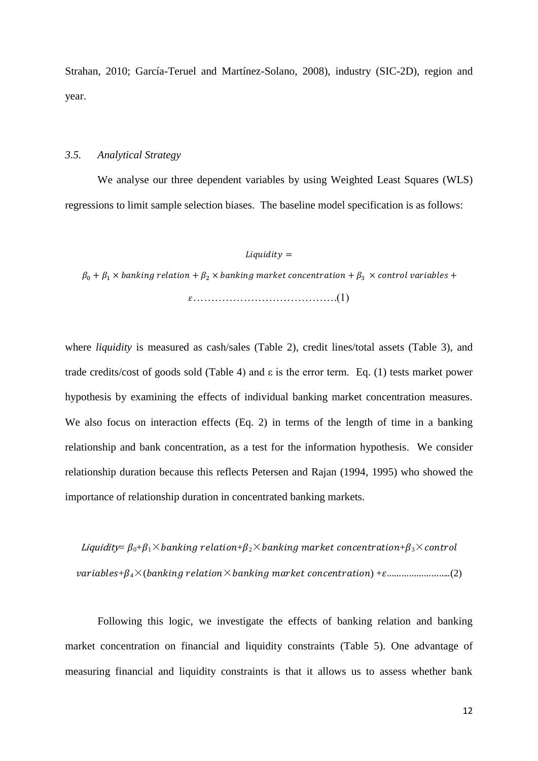Strahan, 2010; García-Teruel and Martínez-Solano, 2008), industry (SIC-2D), region and year.

#### *3.5. Analytical Strategy*

We analyse our three dependent variables by using Weighted Least Squares (WLS) regressions to limit sample selection biases. The baseline model specification is as follows:

## $Liquidity =$

 $\beta_0 + \beta_1 \times$  banking relation +  $\beta_2 \times$  banking market concentration +  $\beta_3 \times$  control variables + ………………………………….(1)

where *liquidity* is measured as cash/sales (Table 2), credit lines/total assets (Table 3), and trade credits/cost of goods sold (Table 4) and ε is the error term. Eq. (1) tests market power hypothesis by examining the effects of individual banking market concentration measures. We also focus on interaction effects (Eq. 2) in terms of the length of time in a banking relationship and bank concentration, as a test for the information hypothesis. We consider relationship duration because this reflects Petersen and Rajan (1994, 1995) who showed the importance of relationship duration in concentrated banking markets.

Liquidity=  $\beta_0+\beta_1\times$  banking relation+ $\beta_2\times$  banking market concentration+ $\beta_3\times$  control +4×( × ) +……………………..(2)

Following this logic, we investigate the effects of banking relation and banking market concentration on financial and liquidity constraints (Table 5). One advantage of measuring financial and liquidity constraints is that it allows us to assess whether bank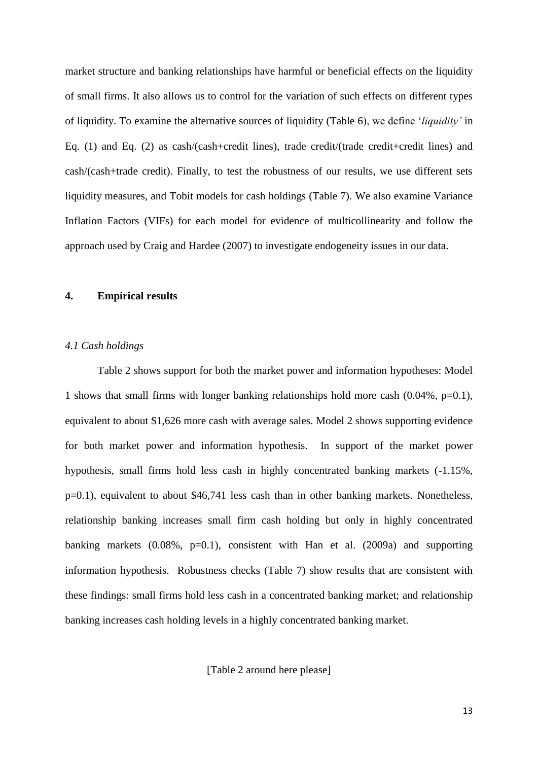market structure and banking relationships have harmful or beneficial effects on the liquidity of small firms. It also allows us to control for the variation of such effects on different types of liquidity. To examine the alternative sources of liquidity (Table 6), we define '*liquidity'* in Eq. (1) and Eq. (2) as cash/(cash+credit lines), trade credit/(trade credit+credit lines) and cash/(cash+trade credit). Finally, to test the robustness of our results, we use different sets liquidity measures, and Tobit models for cash holdings (Table 7). We also examine Variance Inflation Factors (VIFs) for each model for evidence of multicollinearity and follow the approach used by Craig and Hardee (2007) to investigate endogeneity issues in our data.

# **4. Empirical results**

## *4.1 Cash holdings*

Table 2 shows support for both the market power and information hypotheses: Model 1 shows that small firms with longer banking relationships hold more cash (0.04%, p=0.1), equivalent to about \$1,626 more cash with average sales. Model 2 shows supporting evidence for both market power and information hypothesis. In support of the market power hypothesis, small firms hold less cash in highly concentrated banking markets (-1.15%, p=0.1), equivalent to about \$46,741 less cash than in other banking markets. Nonetheless, relationship banking increases small firm cash holding but only in highly concentrated banking markets  $(0.08\% , p=0.1)$ , consistent with Han et al.  $(2009a)$  and supporting information hypothesis. Robustness checks (Table 7) show results that are consistent with these findings: small firms hold less cash in a concentrated banking market; and relationship banking increases cash holding levels in a highly concentrated banking market.

[Table 2 around here please]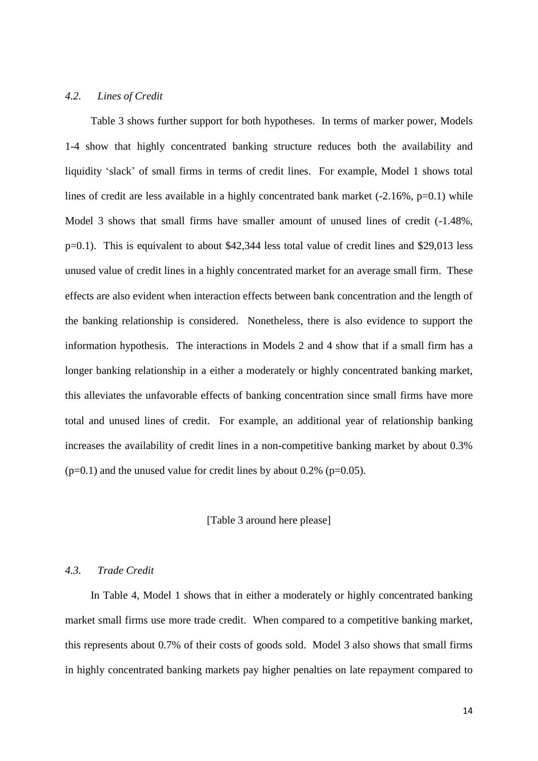## *4.2. Lines of Credit*

Table 3 shows further support for both hypotheses. In terms of marker power, Models 1-4 show that highly concentrated banking structure reduces both the availability and liquidity 'slack' of small firms in terms of credit lines. For example, Model 1 shows total lines of credit are less available in a highly concentrated bank market (-2.16%, p=0.1) while Model 3 shows that small firms have smaller amount of unused lines of credit (-1.48%, p=0.1). This is equivalent to about \$42,344 less total value of credit lines and \$29,013 less unused value of credit lines in a highly concentrated market for an average small firm. These effects are also evident when interaction effects between bank concentration and the length of the banking relationship is considered. Nonetheless, there is also evidence to support the information hypothesis. The interactions in Models 2 and 4 show that if a small firm has a longer banking relationship in a either a moderately or highly concentrated banking market, this alleviates the unfavorable effects of banking concentration since small firms have more total and unused lines of credit. For example, an additional year of relationship banking increases the availability of credit lines in a non-competitive banking market by about 0.3%  $(p=0.1)$  and the unused value for credit lines by about 0.2% ( $p=0.05$ ).

#### [Table 3 around here please]

## *4.3. Trade Credit*

In Table 4, Model 1 shows that in either a moderately or highly concentrated banking market small firms use more trade credit. When compared to a competitive banking market, this represents about 0.7% of their costs of goods sold. Model 3 also shows that small firms in highly concentrated banking markets pay higher penalties on late repayment compared to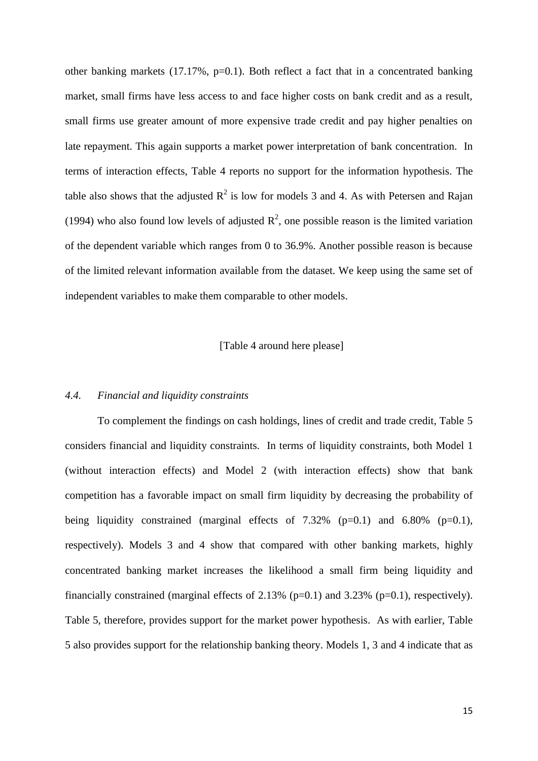other banking markets (17.17%, p=0.1). Both reflect a fact that in a concentrated banking market, small firms have less access to and face higher costs on bank credit and as a result, small firms use greater amount of more expensive trade credit and pay higher penalties on late repayment. This again supports a market power interpretation of bank concentration. In terms of interaction effects, Table 4 reports no support for the information hypothesis. The table also shows that the adjusted  $R^2$  is low for models 3 and 4. As with Petersen and Rajan (1994) who also found low levels of adjusted  $\mathbb{R}^2$ , one possible reason is the limited variation of the dependent variable which ranges from 0 to 36.9%. Another possible reason is because of the limited relevant information available from the dataset. We keep using the same set of independent variables to make them comparable to other models.

[Table 4 around here please]

#### *4.4. Financial and liquidity constraints*

To complement the findings on cash holdings, lines of credit and trade credit, Table 5 considers financial and liquidity constraints. In terms of liquidity constraints, both Model 1 (without interaction effects) and Model 2 (with interaction effects) show that bank competition has a favorable impact on small firm liquidity by decreasing the probability of being liquidity constrained (marginal effects of  $7.32\%$  (p=0.1) and  $6.80\%$  (p=0.1), respectively). Models 3 and 4 show that compared with other banking markets, highly concentrated banking market increases the likelihood a small firm being liquidity and financially constrained (marginal effects of 2.13% (p=0.1) and 3.23% (p=0.1), respectively). Table 5, therefore, provides support for the market power hypothesis. As with earlier, Table 5 also provides support for the relationship banking theory. Models 1, 3 and 4 indicate that as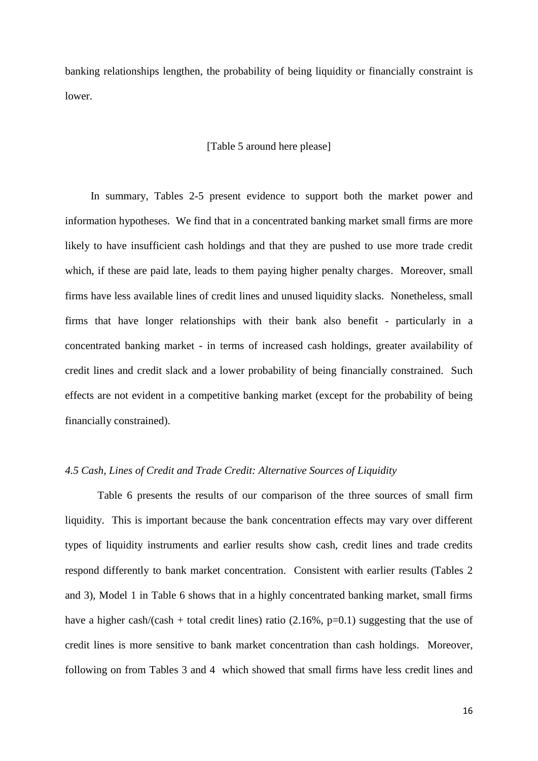banking relationships lengthen, the probability of being liquidity or financially constraint is lower.

## [Table 5 around here please]

In summary, Tables 2-5 present evidence to support both the market power and information hypotheses. We find that in a concentrated banking market small firms are more likely to have insufficient cash holdings and that they are pushed to use more trade credit which, if these are paid late, leads to them paying higher penalty charges. Moreover, small firms have less available lines of credit lines and unused liquidity slacks. Nonetheless, small firms that have longer relationships with their bank also benefit - particularly in a concentrated banking market - in terms of increased cash holdings, greater availability of credit lines and credit slack and a lower probability of being financially constrained. Such effects are not evident in a competitive banking market (except for the probability of being financially constrained).

# *4.5 Cash, Lines of Credit and Trade Credit: Alternative Sources of Liquidity*

Table 6 presents the results of our comparison of the three sources of small firm liquidity. This is important because the bank concentration effects may vary over different types of liquidity instruments and earlier results show cash, credit lines and trade credits respond differently to bank market concentration. Consistent with earlier results (Tables 2 and 3), Model 1 in Table 6 shows that in a highly concentrated banking market, small firms have a higher cash/(cash + total credit lines) ratio (2.16%,  $p=0.1$ ) suggesting that the use of credit lines is more sensitive to bank market concentration than cash holdings. Moreover, following on from Tables 3 and 4 which showed that small firms have less credit lines and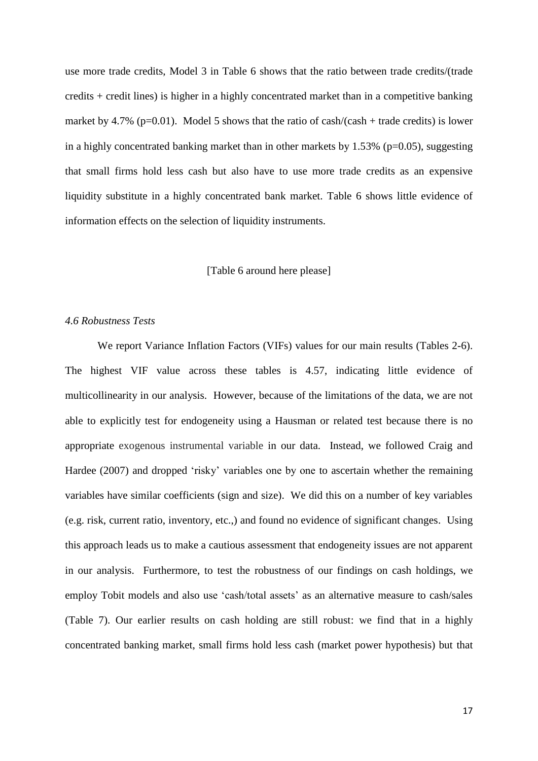use more trade credits, Model 3 in Table 6 shows that the ratio between trade credits/(trade credits + credit lines) is higher in a highly concentrated market than in a competitive banking market by 4.7% ( $p=0.01$ ). Model 5 shows that the ratio of cash/(cash + trade credits) is lower in a highly concentrated banking market than in other markets by  $1.53\%$  (p=0.05), suggesting that small firms hold less cash but also have to use more trade credits as an expensive liquidity substitute in a highly concentrated bank market. Table 6 shows little evidence of information effects on the selection of liquidity instruments.

## [Table 6 around here please]

#### *4.6 Robustness Tests*

We report Variance Inflation Factors (VIFs) values for our main results (Tables 2-6). The highest VIF value across these tables is 4.57, indicating little evidence of multicollinearity in our analysis. However, because of the limitations of the data, we are not able to explicitly test for endogeneity using a Hausman or related test because there is no appropriate exogenous instrumental variable in our data. Instead, we followed Craig and Hardee (2007) and dropped 'risky' variables one by one to ascertain whether the remaining variables have similar coefficients (sign and size). We did this on a number of key variables (e.g. risk, current ratio, inventory, etc.,) and found no evidence of significant changes. Using this approach leads us to make a cautious assessment that endogeneity issues are not apparent in our analysis. Furthermore, to test the robustness of our findings on cash holdings, we employ Tobit models and also use 'cash/total assets' as an alternative measure to cash/sales (Table 7). Our earlier results on cash holding are still robust: we find that in a highly concentrated banking market, small firms hold less cash (market power hypothesis) but that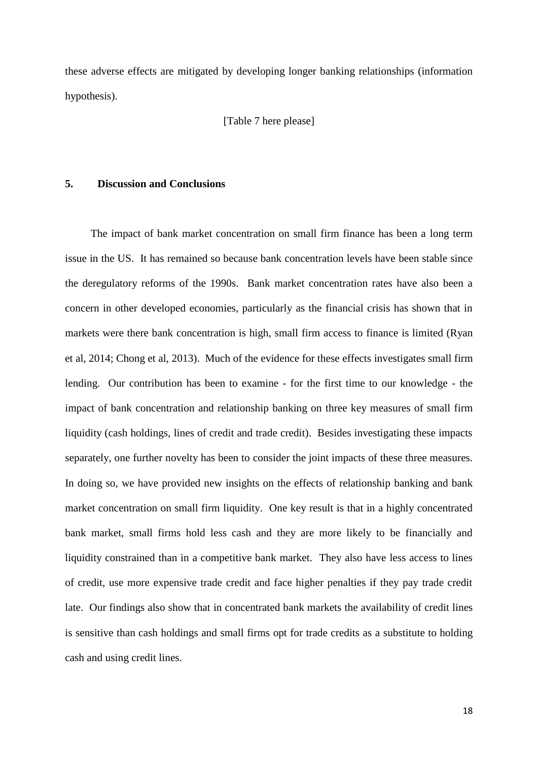these adverse effects are mitigated by developing longer banking relationships (information hypothesis).

[Table 7 here please]

# **5. Discussion and Conclusions**

The impact of bank market concentration on small firm finance has been a long term issue in the US. It has remained so because bank concentration levels have been stable since the deregulatory reforms of the 1990s. Bank market concentration rates have also been a concern in other developed economies, particularly as the financial crisis has shown that in markets were there bank concentration is high, small firm access to finance is limited (Ryan et al, 2014; Chong et al, 2013). Much of the evidence for these effects investigates small firm lending. Our contribution has been to examine - for the first time to our knowledge - the impact of bank concentration and relationship banking on three key measures of small firm liquidity (cash holdings, lines of credit and trade credit). Besides investigating these impacts separately, one further novelty has been to consider the joint impacts of these three measures. In doing so, we have provided new insights on the effects of relationship banking and bank market concentration on small firm liquidity. One key result is that in a highly concentrated bank market, small firms hold less cash and they are more likely to be financially and liquidity constrained than in a competitive bank market. They also have less access to lines of credit, use more expensive trade credit and face higher penalties if they pay trade credit late. Our findings also show that in concentrated bank markets the availability of credit lines is sensitive than cash holdings and small firms opt for trade credits as a substitute to holding cash and using credit lines.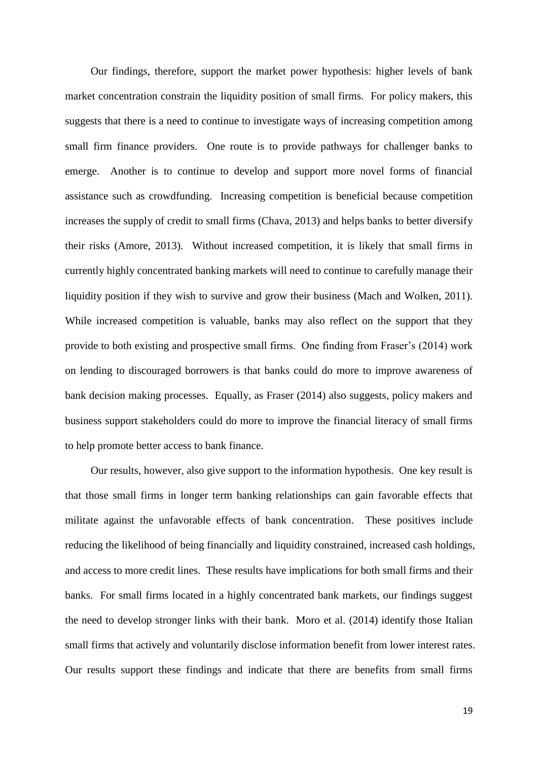Our findings, therefore, support the market power hypothesis: higher levels of bank market concentration constrain the liquidity position of small firms. For policy makers, this suggests that there is a need to continue to investigate ways of increasing competition among small firm finance providers. One route is to provide pathways for challenger banks to emerge. Another is to continue to develop and support more novel forms of financial assistance such as crowdfunding. Increasing competition is beneficial because competition increases the supply of credit to small firms (Chava, 2013) and helps banks to better diversify their risks (Amore, 2013). Without increased competition, it is likely that small firms in currently highly concentrated banking markets will need to continue to carefully manage their liquidity position if they wish to survive and grow their business (Mach and Wolken, 2011). While increased competition is valuable, banks may also reflect on the support that they provide to both existing and prospective small firms. One finding from Fraser's (2014) work on lending to discouraged borrowers is that banks could do more to improve awareness of bank decision making processes. Equally, as Fraser (2014) also suggests, policy makers and business support stakeholders could do more to improve the financial literacy of small firms to help promote better access to bank finance.

Our results, however, also give support to the information hypothesis. One key result is that those small firms in longer term banking relationships can gain favorable effects that militate against the unfavorable effects of bank concentration. These positives include reducing the likelihood of being financially and liquidity constrained, increased cash holdings, and access to more credit lines. These results have implications for both small firms and their banks. For small firms located in a highly concentrated bank markets, our findings suggest the need to develop stronger links with their bank. Moro et al. (2014) identify those Italian small firms that actively and voluntarily disclose information benefit from lower interest rates. Our results support these findings and indicate that there are benefits from small firms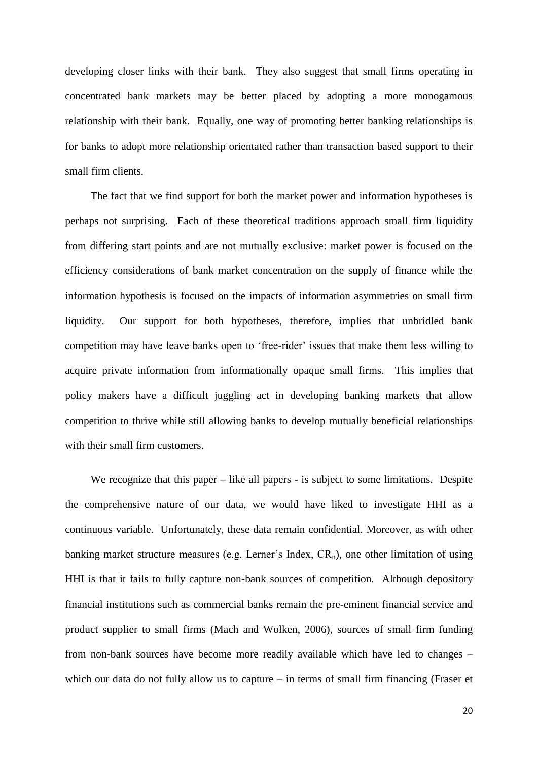developing closer links with their bank. They also suggest that small firms operating in concentrated bank markets may be better placed by adopting a more monogamous relationship with their bank. Equally, one way of promoting better banking relationships is for banks to adopt more relationship orientated rather than transaction based support to their small firm clients.

The fact that we find support for both the market power and information hypotheses is perhaps not surprising. Each of these theoretical traditions approach small firm liquidity from differing start points and are not mutually exclusive: market power is focused on the efficiency considerations of bank market concentration on the supply of finance while the information hypothesis is focused on the impacts of information asymmetries on small firm liquidity. Our support for both hypotheses, therefore, implies that unbridled bank competition may have leave banks open to 'free-rider' issues that make them less willing to acquire private information from informationally opaque small firms. This implies that policy makers have a difficult juggling act in developing banking markets that allow competition to thrive while still allowing banks to develop mutually beneficial relationships with their small firm customers.

We recognize that this paper – like all papers - is subject to some limitations. Despite the comprehensive nature of our data, we would have liked to investigate HHI as a continuous variable. Unfortunately, these data remain confidential. Moreover, as with other banking market structure measures (e.g. Lerner's Index,  $CR_n$ ), one other limitation of using HHI is that it fails to fully capture non-bank sources of competition. Although depository financial institutions such as commercial banks remain the pre-eminent financial service and product supplier to small firms (Mach and Wolken, 2006), sources of small firm funding from non-bank sources have become more readily available which have led to changes – which our data do not fully allow us to capture – in terms of small firm financing (Fraser et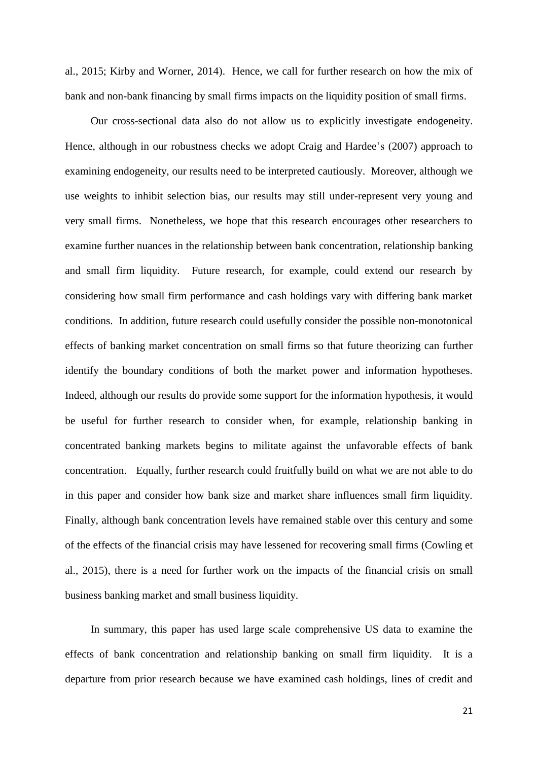al., 2015; Kirby and Worner, 2014). Hence, we call for further research on how the mix of bank and non-bank financing by small firms impacts on the liquidity position of small firms.

Our cross-sectional data also do not allow us to explicitly investigate endogeneity. Hence, although in our robustness checks we adopt Craig and Hardee's (2007) approach to examining endogeneity, our results need to be interpreted cautiously. Moreover, although we use weights to inhibit selection bias, our results may still under-represent very young and very small firms. Nonetheless, we hope that this research encourages other researchers to examine further nuances in the relationship between bank concentration, relationship banking and small firm liquidity. Future research, for example, could extend our research by considering how small firm performance and cash holdings vary with differing bank market conditions. In addition, future research could usefully consider the possible non-monotonical effects of banking market concentration on small firms so that future theorizing can further identify the boundary conditions of both the market power and information hypotheses. Indeed, although our results do provide some support for the information hypothesis, it would be useful for further research to consider when, for example, relationship banking in concentrated banking markets begins to militate against the unfavorable effects of bank concentration. Equally, further research could fruitfully build on what we are not able to do in this paper and consider how bank size and market share influences small firm liquidity. Finally, although bank concentration levels have remained stable over this century and some of the effects of the financial crisis may have lessened for recovering small firms (Cowling et al., 2015), there is a need for further work on the impacts of the financial crisis on small business banking market and small business liquidity.

In summary, this paper has used large scale comprehensive US data to examine the effects of bank concentration and relationship banking on small firm liquidity. It is a departure from prior research because we have examined cash holdings, lines of credit and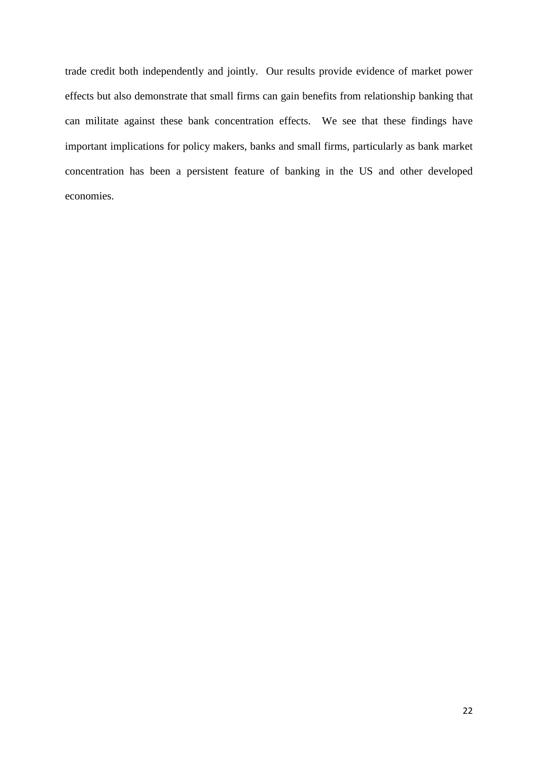trade credit both independently and jointly. Our results provide evidence of market power effects but also demonstrate that small firms can gain benefits from relationship banking that can militate against these bank concentration effects. We see that these findings have important implications for policy makers, banks and small firms, particularly as bank market concentration has been a persistent feature of banking in the US and other developed economies.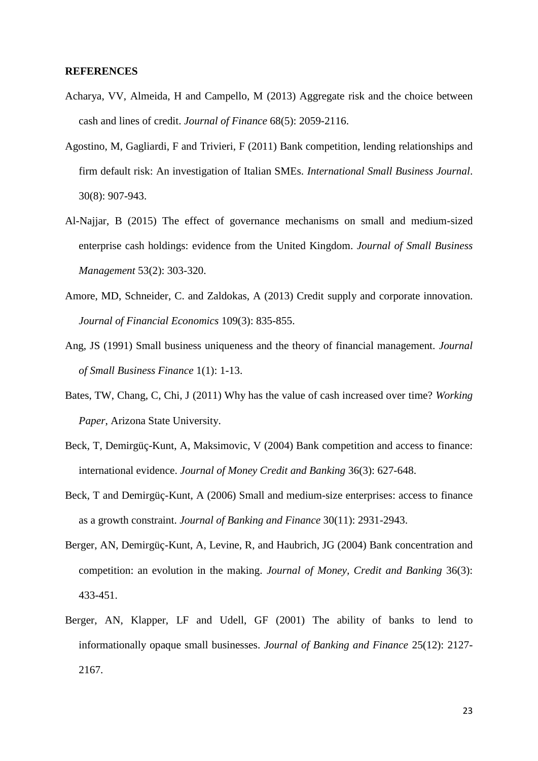#### **REFERENCES**

- Acharya, VV, Almeida, H and Campello, M (2013) Aggregate risk and the choice between cash and lines of credit. *Journal of Finance* 68(5): 2059-2116.
- Agostino, M, Gagliardi, F and Trivieri, F (2011) Bank competition, lending relationships and firm default risk: An investigation of Italian SMEs. *International Small Business Journal*. 30(8): 907-943.
- Al-Najjar, B (2015) The effect of governance mechanisms on small and medium-sized enterprise cash holdings: evidence from the United Kingdom. *Journal of Small Business Management* 53(2): 303-320.
- Amore, MD, Schneider, C. and Zaldokas, A (2013) Credit supply and corporate innovation. *Journal of Financial Economics* 109(3): 835-855.
- Ang, JS (1991) Small business uniqueness and the theory of financial management. *Journal of Small Business Finance* 1(1): 1-13.
- Bates, TW, Chang, C, Chi, J (2011) Why has the value of cash increased over time? *Working Paper*, Arizona State University.
- Beck, T, Demirgüç-Kunt, A, Maksimovic, V (2004) Bank competition and access to finance: international evidence. *Journal of Money Credit and Banking* 36(3): 627-648.
- Beck, T and Demirgüç-Kunt, A (2006) Small and medium-size enterprises: access to finance as a growth constraint. *Journal of Banking and Finance* 30(11): 2931-2943.
- Berger, AN, Demirgüç-Kunt, A, Levine, R, and Haubrich, JG (2004) Bank concentration and competition: an evolution in the making. *Journal of Money, Credit and Banking* 36(3): 433-451.
- Berger, AN, Klapper, LF and Udell, GF (2001) The ability of banks to lend to informationally opaque small businesses. *Journal of Banking and Finance* 25(12): 2127- 2167.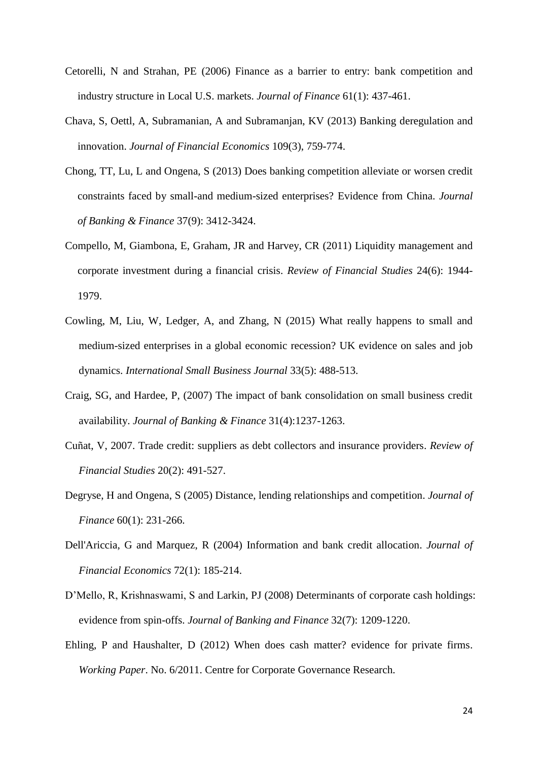- Cetorelli, N and Strahan, PE (2006) Finance as a barrier to entry: bank competition and industry structure in Local U.S. markets. *Journal of Finance* 61(1): 437-461.
- Chava, S, Oettl, A, Subramanian, A and Subramanjan, KV (2013) Banking deregulation and innovation. *Journal of Financial Economics* 109(3), 759-774.
- Chong, TT, Lu, L and Ongena, S (2013) Does banking competition alleviate or worsen credit constraints faced by small-and medium-sized enterprises? Evidence from China. *Journal of Banking & Finance* 37(9): 3412-3424.
- Compello, M, Giambona, E, Graham, JR and Harvey, CR (2011) Liquidity management and corporate investment during a financial crisis. *Review of Financial Studies* 24(6): 1944- 1979.
- Cowling, M, Liu, W, Ledger, A, and Zhang, N (2015) What really happens to small and medium-sized enterprises in a global economic recession? UK evidence on sales and job dynamics. *International Small Business Journal* 33(5): 488-513.
- Craig, SG, and Hardee, P, (2007) The impact of bank consolidation on small business credit availability. *Journal of Banking & Finance* 31(4):1237-1263.
- Cuñat, V, 2007. Trade credit: suppliers as debt collectors and insurance providers. *Review of Financial Studies* 20(2): 491-527.
- Degryse, H and Ongena, S (2005) Distance, lending relationships and competition. *Journal of Finance* 60(1): 231-266.
- Dell'Ariccia, G and Marquez, R (2004) Information and bank credit allocation. *Journal of Financial Economics* 72(1): 185-214.
- D'Mello, R, Krishnaswami, S and Larkin, PJ (2008) Determinants of corporate cash holdings: evidence from spin-offs. *Journal of Banking and Finance* 32(7): 1209-1220.
- Ehling, P and Haushalter, D (2012) When does cash matter? evidence for private firms. *Working Paper*. No. 6/2011. Centre for Corporate Governance Research*.*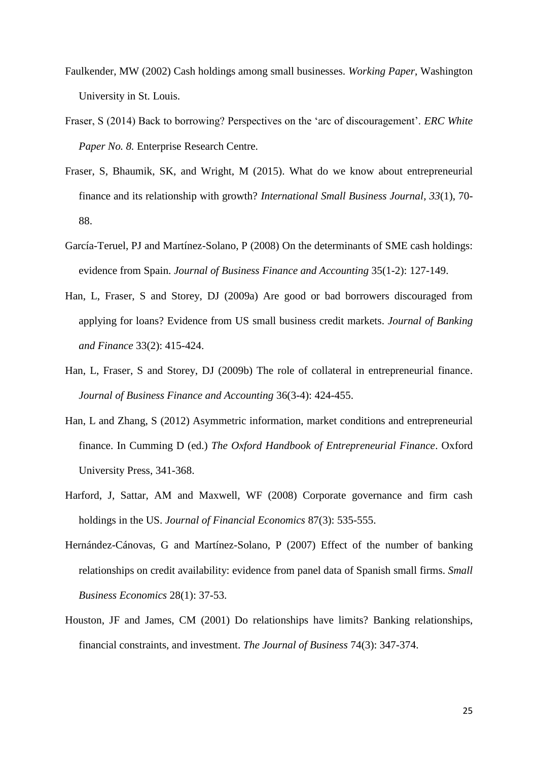- Faulkender, MW (2002) Cash holdings among small businesses. *Working Paper*, Washington University in St. Louis.
- Fraser, S (2014) Back to borrowing? Perspectives on the 'arc of discouragement'. *ERC White Paper No. 8.* Enterprise Research Centre.
- Fraser, S, Bhaumik, SK, and Wright, M (2015). What do we know about entrepreneurial finance and its relationship with growth? *International Small Business Journal*, *33*(1), 70- 88.
- García-Teruel, PJ and Martínez-Solano, P (2008) On the determinants of SME cash holdings: evidence from Spain. *Journal of Business Finance and Accounting* 35(1-2): 127-149.
- Han, L, Fraser, S and Storey, DJ (2009a) Are good or bad borrowers discouraged from applying for loans? Evidence from US small business credit markets. *Journal of Banking and Finance* 33(2): 415-424.
- Han, L, Fraser, S and Storey, DJ (2009b) The role of collateral in entrepreneurial finance. *Journal of Business Finance and Accounting* 36(3-4): 424-455.
- Han, L and Zhang, S (2012) Asymmetric information, market conditions and entrepreneurial finance. In Cumming D (ed.) *The Oxford Handbook of Entrepreneurial Finance*. Oxford University Press, 341-368.
- Harford, J, Sattar, AM and Maxwell, WF (2008) Corporate governance and firm cash holdings in the US. *Journal of Financial Economics* 87(3): 535-555.
- Hernández-Cánovas, G and Martínez-Solano, P (2007) Effect of the number of banking relationships on credit availability: evidence from panel data of Spanish small firms. *Small Business Economics* 28(1): 37-53.
- Houston, JF and James, CM (2001) Do relationships have limits? Banking relationships, financial constraints, and investment. *The Journal of Business* 74(3): 347-374.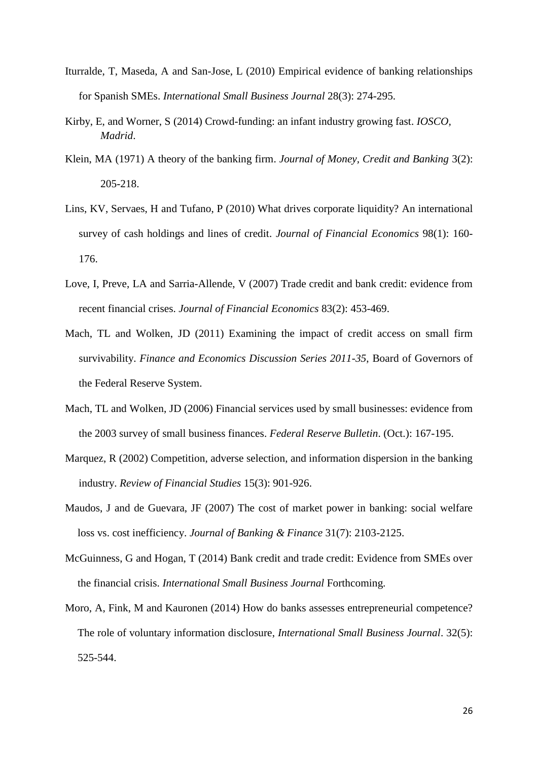- Iturralde, T, Maseda, A and San-Jose, L (2010) Empirical evidence of banking relationships for Spanish SMEs. *International Small Business Journal* 28(3): 274-295.
- Kirby, E, and Worner, S (2014) Crowd-funding: an infant industry growing fast. *IOSCO, Madrid*.
- Klein, MA (1971) A theory of the banking firm. *Journal of Money, Credit and Banking* 3(2): 205-218.
- Lins, KV, Servaes, H and Tufano, P (2010) What drives corporate liquidity? An international survey of cash holdings and lines of credit. *Journal of Financial Economics* 98(1): 160- 176.
- Love, I, Preve, LA and Sarria-Allende, V (2007) Trade credit and bank credit: evidence from recent financial crises. *Journal of Financial Economics* 83(2): 453-469.
- Mach, TL and Wolken, JD (2011) Examining the impact of credit access on small firm survivability. *Finance and Economics Discussion Series 2011-35*, Board of Governors of the Federal Reserve System.
- Mach, TL and Wolken, JD (2006) Financial services used by small businesses: evidence from the 2003 survey of small business finances. *Federal Reserve Bulletin*. (Oct.): 167-195.
- Marquez, R (2002) Competition, adverse selection, and information dispersion in the banking industry. *Review of Financial Studies* 15(3): 901-926.
- Maudos, J and de Guevara, JF (2007) The cost of market power in banking: social welfare loss vs. cost inefficiency. *Journal of Banking & Finance* 31(7): 2103-2125.
- McGuinness, G and Hogan, T (2014) Bank credit and trade credit: Evidence from SMEs over the financial crisis. *International Small Business Journal* Forthcoming.
- Moro, A, Fink, M and Kauronen (2014) How do banks assesses entrepreneurial competence? The role of voluntary information disclosure, *International Small Business Journal*. 32(5): 525-544.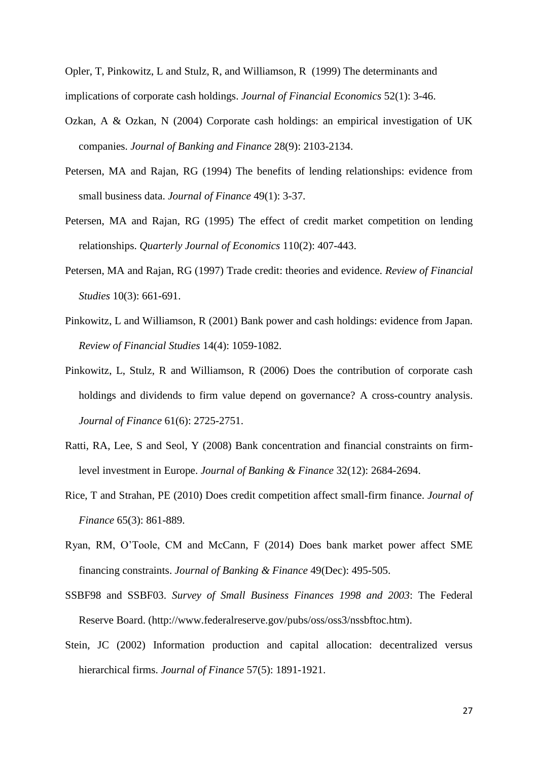Opler, T, Pinkowitz, L and Stulz, R, and Williamson, R (1999) The determinants and implications of corporate cash holdings. *Journal of Financial Economics* 52(1): 3-46.

- Ozkan, A & Ozkan, N (2004) Corporate cash holdings: an empirical investigation of UK companies. *Journal of Banking and Finance* 28(9): 2103-2134.
- Petersen, MA and Rajan, RG (1994) The benefits of lending relationships: evidence from small business data. *Journal of Finance* 49(1): 3-37.
- Petersen, MA and Rajan, RG (1995) The effect of credit market competition on lending relationships. *Quarterly Journal of Economics* 110(2): 407-443.
- Petersen, MA and Rajan, RG (1997) Trade credit: theories and evidence. *Review of Financial Studies* 10(3): 661-691.
- Pinkowitz, L and Williamson, R (2001) Bank power and cash holdings: evidence from Japan. *Review of Financial Studies* 14(4): 1059-1082.
- Pinkowitz, L, Stulz, R and Williamson, R (2006) Does the contribution of corporate cash holdings and dividends to firm value depend on governance? A cross-country analysis. *Journal of Finance* 61(6): 2725-2751.
- Ratti, RA, Lee, S and Seol, Y (2008) Bank concentration and financial constraints on firmlevel investment in Europe. *Journal of Banking & Finance* 32(12): 2684-2694.
- Rice, T and Strahan, PE (2010) Does credit competition affect small-firm finance. *Journal of Finance* 65(3): 861-889.
- Ryan, RM, O'Toole, CM and McCann, F (2014) Does bank market power affect SME financing constraints. *Journal of Banking & Finance* 49(Dec): 495-505.
- SSBF98 and SSBF03. *Survey of Small Business Finances 1998 and 2003*: The Federal Reserve Board. (http://www.federalreserve.gov/pubs/oss/oss3/nssbftoc.htm).
- Stein, JC (2002) Information production and capital allocation: decentralized versus hierarchical firms. *Journal of Finance* 57(5): 1891-1921.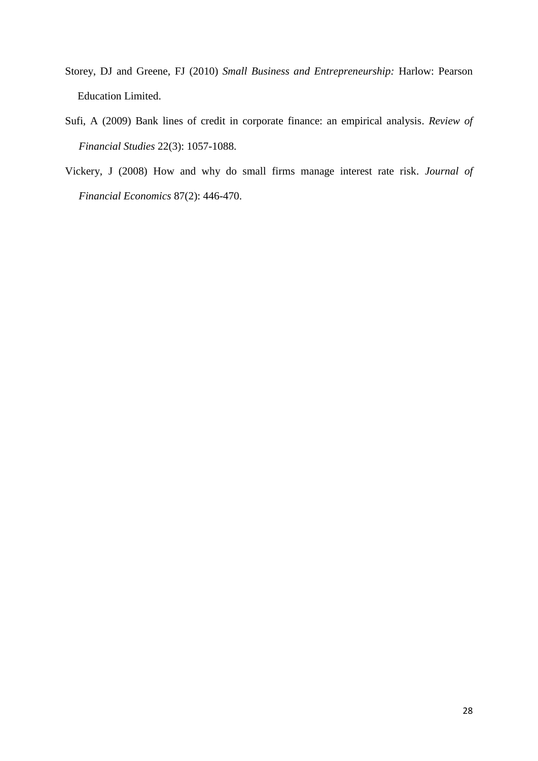- Storey, DJ and Greene, FJ (2010) *Small Business and Entrepreneurship:* Harlow: Pearson Education Limited.
- Sufi, A (2009) Bank lines of credit in corporate finance: an empirical analysis. *Review of Financial Studies* 22(3): 1057-1088.
- Vickery, J (2008) How and why do small firms manage interest rate risk. *Journal of Financial Economics* 87(2): 446-470.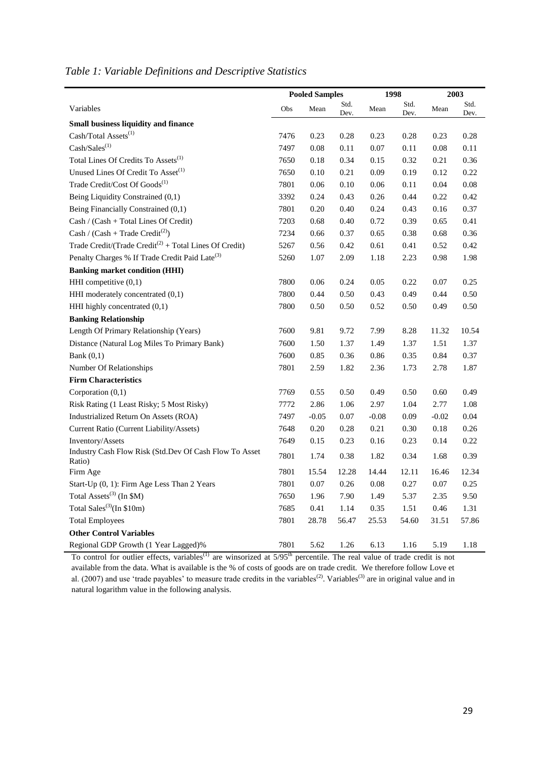| Table 1: Variable Definitions and Descriptive Statistics |  |  |  |
|----------------------------------------------------------|--|--|--|
|----------------------------------------------------------|--|--|--|

|                                                                    | <b>Pooled Samples</b> |         | 1998         |          | 2003         |         |              |
|--------------------------------------------------------------------|-----------------------|---------|--------------|----------|--------------|---------|--------------|
| Variables                                                          | Obs                   | Mean    | Std.<br>Dev. | Mean     | Std.<br>Dev. | Mean    | Std.<br>Dev. |
| <b>Small business liquidity and finance</b>                        |                       |         |              |          |              |         |              |
| Cash/Total Assets <sup>(1)</sup>                                   | 7476                  | 0.23    | 0.28         | 0.23     | 0.28         | 0.23    | 0.28         |
| $\mathbf{Cash}/\mathbf{Sales}^{(1)}$                               | 7497                  | 0.08    | 0.11         | 0.07     | 0.11         | 0.08    | 0.11         |
| Total Lines Of Credits To Assets <sup>(1)</sup>                    | 7650                  | 0.18    | 0.34         | 0.15     | 0.32         | 0.21    | 0.36         |
| Unused Lines Of Credit To Asset <sup>(1)</sup>                     | 7650                  | 0.10    | 0.21         | 0.09     | 0.19         | 0.12    | 0.22         |
| Trade Credit/Cost Of Goods <sup>(1)</sup>                          | 7801                  | 0.06    | 0.10         | 0.06     | 0.11         | 0.04    | 0.08         |
| Being Liquidity Constrained (0,1)                                  | 3392                  | 0.24    | 0.43         | 0.26     | 0.44         | 0.22    | 0.42         |
| Being Financially Constrained (0,1)                                | 7801                  | 0.20    | 0.40         | 0.24     | 0.43         | 0.16    | 0.37         |
| Cash / (Cash + Total Lines Of Credit)                              | 7203                  | 0.68    | 0.40         | 0.72     | 0.39         | 0.65    | 0.41         |
| Cash / (Cash + Trade Credit <sup>(2)</sup> )                       | 7234                  | 0.66    | 0.37         | 0.65     | 0.38         | 0.68    | 0.36         |
| Trade Credit/(Trade Credit <sup>(2)</sup> + Total Lines Of Credit) | 5267                  | 0.56    | 0.42         | 0.61     | 0.41         | 0.52    | 0.42         |
| Penalty Charges % If Trade Credit Paid Late <sup>(3)</sup>         | 5260                  | 1.07    | 2.09         | 1.18     | 2.23         | 0.98    | 1.98         |
| <b>Banking market condition (HHI)</b>                              |                       |         |              |          |              |         |              |
| HHI competitive $(0,1)$                                            | 7800                  | 0.06    | 0.24         | 0.05     | 0.22         | 0.07    | 0.25         |
| HHI moderately concentrated (0,1)                                  | 7800                  | 0.44    | 0.50         | 0.43     | 0.49         | 0.44    | 0.50         |
| HHI highly concentrated (0,1)                                      | 7800                  | 0.50    | 0.50         | 0.52     | 0.50         | 0.49    | 0.50         |
| <b>Banking Relationship</b>                                        |                       |         |              |          |              |         |              |
| Length Of Primary Relationship (Years)                             | 7600                  | 9.81    | 9.72         | 7.99     | 8.28         | 11.32   | 10.54        |
| Distance (Natural Log Miles To Primary Bank)                       | 7600                  | 1.50    | 1.37         | 1.49     | 1.37         | 1.51    | 1.37         |
| Bank $(0,1)$                                                       | 7600                  | 0.85    | 0.36         | 0.86     | 0.35         | 0.84    | 0.37         |
| Number Of Relationships                                            | 7801                  | 2.59    | 1.82         | 2.36     | 1.73         | 2.78    | 1.87         |
| <b>Firm Characteristics</b>                                        |                       |         |              |          |              |         |              |
| Corporation $(0,1)$                                                | 7769                  | 0.55    | 0.50         | 0.49     | 0.50         | 0.60    | 0.49         |
| Risk Rating (1 Least Risky; 5 Most Risky)                          | 7772                  | 2.86    | 1.06         | 2.97     | 1.04         | 2.77    | 1.08         |
| Industrialized Return On Assets (ROA)                              | 7497                  | $-0.05$ | 0.07         | $-0.08$  | 0.09         | $-0.02$ | 0.04         |
| Current Ratio (Current Liability/Assets)                           | 7648                  | 0.20    | 0.28         | 0.21     | 0.30         | 0.18    | 0.26         |
| Inventory/Assets                                                   | 7649                  | 0.15    | 0.23         | 0.16     | 0.23         | 0.14    | 0.22         |
| Industry Cash Flow Risk (Std.Dev Of Cash Flow To Asset<br>Ratio)   | 7801                  | 1.74    | 0.38         | 1.82     | 0.34         | 1.68    | 0.39         |
| Firm Age                                                           | 7801                  | 15.54   | 12.28        | 14.44    | 12.11        | 16.46   | 12.34        |
| Start-Up (0, 1): Firm Age Less Than 2 Years                        | 7801                  | 0.07    | 0.26         | $0.08\,$ | 0.27         | 0.07    | 0.25         |
| Total Assets <sup>(3)</sup> (In \$M)                               | 7650                  | 1.96    | 7.90         | 1.49     | 5.37         | 2.35    | 9.50         |
| Total Sales <sup>(3)</sup> (In \$10m)                              | 7685                  | 0.41    | 1.14         | 0.35     | 1.51         | 0.46    | 1.31         |
| <b>Total Employees</b>                                             | 7801                  | 28.78   | 56.47        | 25.53    | 54.60        | 31.51   | 57.86        |
| <b>Other Control Variables</b>                                     |                       |         |              |          |              |         |              |
| Regional GDP Growth (1 Year Lagged)%                               | 7801                  | 5.62    | 1.26         | 6.13     | 1.16         | 5.19    | 1.18         |

To control for outlier effects, variables<sup>(1)</sup> are winsorized at  $5/95<sup>th</sup>$  percentile. The real value of trade credit is not available from the data. What is available is the % of costs of goods are on trade credit. We therefore follow Love et al. (2007) and use 'trade payables' to measure trade credits in the variables<sup>(2)</sup>. Variables<sup>(3)</sup> are in original value and in natural logarithm value in the following analysis.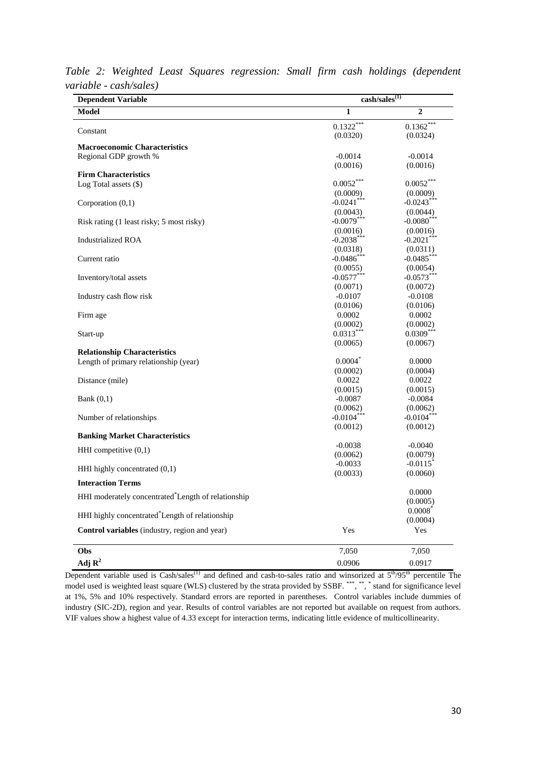| <b>Dependent Variable</b>                                       | $\overline{\text{cash/sales}}^{(1)}$ |                           |  |  |
|-----------------------------------------------------------------|--------------------------------------|---------------------------|--|--|
| Model                                                           | 1                                    | $\overline{2}$            |  |  |
|                                                                 | $0.1322***$                          | $0.1362***$               |  |  |
| Constant                                                        | (0.0320)                             | (0.0324)                  |  |  |
| <b>Macroeconomic Characteristics</b>                            |                                      |                           |  |  |
| Regional GDP growth %                                           | $-0.0014$                            | $-0.0014$                 |  |  |
|                                                                 | (0.0016)                             | (0.0016)                  |  |  |
| <b>Firm Characteristics</b>                                     |                                      | $0.0052***$               |  |  |
| Log Total assets $(\$)$                                         | $0.0052^{***}$                       |                           |  |  |
|                                                                 | (0.0009)<br>$-0.0241$ ***            | (0.0009)<br>$-0.0243***$  |  |  |
| Corporation $(0,1)$                                             |                                      |                           |  |  |
|                                                                 | (0.0043)<br>$-0.0079***$             | (0.0044)<br>$-0.0080$ *** |  |  |
| Risk rating (1 least risky; 5 most risky)                       |                                      |                           |  |  |
| <b>Industrialized ROA</b>                                       | (0.0016)<br>$-0.2038***$             | (0.0016)<br>$-0.2021$ *** |  |  |
|                                                                 | (0.0318)                             | (0.0311)                  |  |  |
|                                                                 | $-0.0486$ ***                        | $-0.0485***$              |  |  |
| Current ratio                                                   | (0.0055)                             | (0.0054)                  |  |  |
|                                                                 | $-0.0577***$                         | $-0.0573***$              |  |  |
| Inventory/total assets                                          | (0.0071)                             | (0.0072)                  |  |  |
| Industry cash flow risk                                         | $-0.0107$                            | $-0.0108$                 |  |  |
|                                                                 | (0.0106)                             | (0.0106)                  |  |  |
| Firm age                                                        | 0.0002                               | 0.0002                    |  |  |
|                                                                 | (0.0002)                             | (0.0002)                  |  |  |
| Start-up                                                        | $0.0313***$                          | $0.0309***$               |  |  |
|                                                                 | (0.0065)                             | (0.0067)                  |  |  |
| <b>Relationship Characteristics</b>                             |                                      |                           |  |  |
| Length of primary relationship (year)                           | $0.0004*$                            | 0.0000                    |  |  |
|                                                                 | (0.0002)                             | (0.0004)                  |  |  |
| Distance (mile)                                                 | 0.0022                               | 0.0022                    |  |  |
|                                                                 | (0.0015)                             | (0.0015)                  |  |  |
| Bank $(0,1)$                                                    | $-0.0087$                            | $-0.0084$                 |  |  |
|                                                                 | (0.0062)                             | (0.0062)                  |  |  |
| Number of relationships                                         | $-0.0104***$                         | $-0.0104***$              |  |  |
|                                                                 | (0.0012)                             | (0.0012)                  |  |  |
| <b>Banking Market Characteristics</b>                           |                                      |                           |  |  |
|                                                                 | $-0.0038$                            | $-0.0040$                 |  |  |
| HHI competitive $(0,1)$                                         | (0.0062)                             | (0.0079)                  |  |  |
|                                                                 | $-0.0033$                            | $-0.0115$ <sup>*</sup>    |  |  |
| HHI highly concentrated $(0,1)$                                 | (0.0033)                             | (0.0060)                  |  |  |
| <b>Interaction Terms</b>                                        |                                      |                           |  |  |
| HHI moderately concentrated <sup>*</sup> Length of relationship |                                      | 0.0000                    |  |  |
|                                                                 |                                      | (0.0005)                  |  |  |
| HHI highly concentrated Length of relationship                  |                                      | 0.0008                    |  |  |
|                                                                 |                                      | (0.0004)                  |  |  |
| Control variables (industry, region and year)                   | Yes                                  | Yes                       |  |  |
| Obs                                                             | 7,050                                | 7,050                     |  |  |
| Adj $\mathbf{R}^2$                                              | 0.0906                               | 0.0917                    |  |  |
|                                                                 |                                      |                           |  |  |

*Table 2: Weighted Least Squares regression: Small firm cash holdings (dependent variable - cash/sales)*

Dependent variable used is Cash/sales<sup>(1)</sup> and defined and cash-to-sales ratio and winsorized at  $5<sup>th</sup>/95<sup>th</sup>$  percentile The model used is weighted least square (WLS) clustered by the strata provided by SSBF. \*\*\*, \*\*, \* stand for significance level at 1%, 5% and 10% respectively. Standard errors are reported in parentheses. Control variables include dummies of industry (SIC-2D), region and year. Results of control variables are not reported but available on request from authors. VIF values show a highest value of 4.33 except for interaction terms, indicating little evidence of multicollinearity.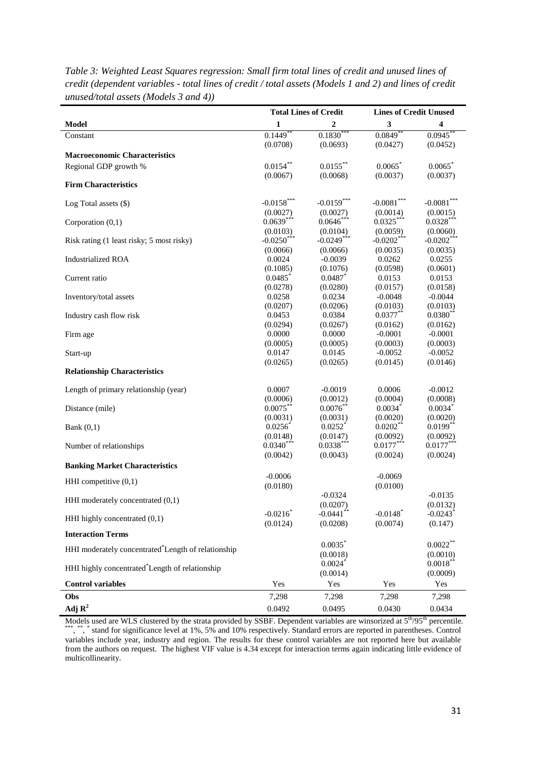|                                                    | <b>Total Lines of Credit</b> |                         | <b>Lines of Credit Unused</b> |                         |  |
|----------------------------------------------------|------------------------------|-------------------------|-------------------------------|-------------------------|--|
| <b>Model</b>                                       | 1                            | 2                       | $\mathbf{3}$                  | 4                       |  |
| Constant                                           | $0.1449$ **                  | $0.1830^{**}$           | $0.0849$ <sup>*</sup>         | 0.0945                  |  |
|                                                    | (0.0708)                     | (0.0693)                | (0.0427)                      | (0.0452)                |  |
| <b>Macroeconomic Characteristics</b>               |                              |                         |                               |                         |  |
| Regional GDP growth %                              | $0.0154***$                  | $0.0155***$             | 0.0065                        | 0.0065                  |  |
|                                                    | (0.0067)                     | (0.0068)                | (0.0037)                      | (0.0037)                |  |
| <b>Firm Characteristics</b>                        |                              |                         |                               |                         |  |
|                                                    | $-0.0158***$                 | $-0.0159***$            | $-0.0081***$                  | $-0.0081***$            |  |
| Log Total assets (\$)                              | (0.0027)                     | (0.0027)                | (0.0014)                      | (0.0015)                |  |
| Corporation (0,1)                                  | $0.0639***$                  | $0.0646***$             | $0.0325***$                   | $0.0328***$             |  |
|                                                    | (0.0103)                     | (0.0104)                | (0.0059)                      | (0.0060)                |  |
| Risk rating (1 least risky; 5 most risky)          | $-0.0250$ ***                | $-0.0249$ ***           | $-0.0202$ ***                 | $-0.0202$ <sup>**</sup> |  |
|                                                    | (0.0066)                     | (0.0066)                | (0.0035)                      | (0.0035)                |  |
| <b>Industrialized ROA</b>                          | 0.0024                       | $-0.0039$               | 0.0262                        | 0.0255                  |  |
|                                                    | (0.1085)                     | (0.1076)                | (0.0598)                      | (0.0601)                |  |
| Current ratio                                      | $0.0485$ *                   | $0.0487$ *              | 0.0153                        | 0.0153                  |  |
|                                                    | (0.0278)                     | (0.0280)                | (0.0157)                      | (0.0158)                |  |
| Inventory/total assets                             | 0.0258                       | 0.0234                  | $-0.0048$                     | $-0.0044$               |  |
|                                                    | (0.0207)                     | (0.0206)                | (0.0103)                      | (0.0103)                |  |
| Industry cash flow risk                            | 0.0453                       | 0.0384                  | $0.0377***$                   | $0.0380**$              |  |
|                                                    | (0.0294)<br>0.0000           | (0.0267)<br>0.0000      | (0.0162)                      | (0.0162)<br>$-0.0001$   |  |
| Firm age                                           | (0.0005)                     | (0.0005)                | $-0.0001$<br>(0.0003)         | (0.0003)                |  |
| Start-up                                           | 0.0147                       | 0.0145                  | $-0.0052$                     | $-0.0052$               |  |
|                                                    | (0.0265)                     | (0.0265)                | (0.0145)                      | (0.0146)                |  |
| <b>Relationship Characteristics</b>                |                              |                         |                               |                         |  |
| Length of primary relationship (year)              | 0.0007                       | $-0.0019$               | 0.0006                        | $-0.0012$               |  |
|                                                    | (0.0006)                     | (0.0012)                | (0.0004)                      | (0.0008)                |  |
| Distance (mile)                                    | $0.0075***$                  | $0.0076**$              | $0.0034*$                     | $0.0034*$               |  |
|                                                    | (0.0031)                     | (0.0031)                | (0.0020)                      | (0.0020)                |  |
| Bank $(0,1)$                                       | $0.0256*$                    | 0.0252                  | $0.0202**$                    | $0.0199**$              |  |
|                                                    | (0.0148)                     | (0.0147)                | (0.0092)                      | (0.0092)                |  |
| Number of relationships                            | $0.0340***$                  | $0.0338***$             | $0.0177***$                   | $0.0177***$             |  |
|                                                    | (0.0042)                     | (0.0043)                | (0.0024)                      | (0.0024)                |  |
| <b>Banking Market Characteristics</b>              |                              |                         |                               |                         |  |
| HHI competitive $(0,1)$                            | $-0.0006$                    |                         | $-0.0069$                     |                         |  |
|                                                    | (0.0180)                     |                         | (0.0100)                      |                         |  |
| HHI moderately concentrated $(0,1)$                |                              | $-0.0324$               |                               | $-0.0135$               |  |
|                                                    |                              | (0.0207)                |                               | (0.0132)                |  |
| HHI highly concentrated (0,1)                      | $-0.0216*$                   | $-0.0441$ <sup>**</sup> | $-0.0148$ <sup>*</sup>        | $-0.0243$ <sup>*</sup>  |  |
|                                                    | (0.0124)                     | (0.0208)                | (0.0074)                      | (0.147)                 |  |
| <b>Interaction Terms</b>                           |                              |                         |                               |                         |  |
| HHI moderately concentrated*Length of relationship |                              | $0.0035$ *              |                               | $0.0022***$             |  |
|                                                    |                              | (0.0018)<br>0.0024      |                               | (0.0010)<br>$0.0018***$ |  |
| HHI highly concentrated Length of relationship     |                              | (0.0014)                |                               | (0.0009)                |  |
| <b>Control variables</b>                           | Yes                          | Yes                     | Yes                           | Yes                     |  |
| Obs                                                | 7,298                        | 7,298                   | 7,298                         | 7,298                   |  |
|                                                    |                              |                         |                               |                         |  |
| Adj $\mathbf{R}^2$                                 | 0.0492                       | 0.0495                  | 0.0430                        | 0.0434                  |  |

*Table 3: Weighted Least Squares regression: Small firm total lines of credit and unused lines of credit (dependent variables - total lines of credit / total assets (Models 1 and 2) and lines of credit unused/total assets (Models 3 and 4))*

Models used are WLS clustered by the strata provided by SSBF. Dependent variables are winsorized at  $5<sup>th</sup>/95<sup>th</sup>$  percentile. \*\*\*, \*\*, \* stand for significance level at 1%, 5% and 10% respectively. Standard errors are reported in parentheses. Control variables include year, industry and region. The results for these control variables are not reported here but available from the authors on request. The highest VIF value is 4.34 except for interaction terms again indicating little evidence of multicollinearity.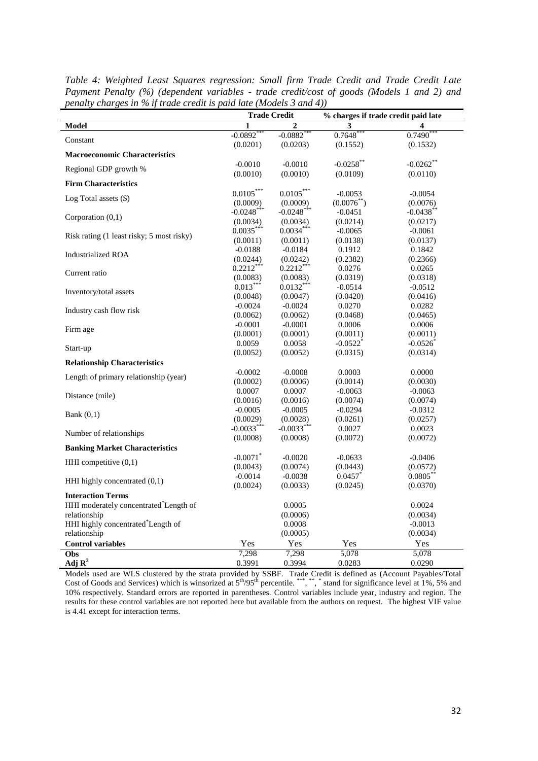| changes in 70 if in and cream is          | $\sum$<br><b>Trade Credit</b> |                        | % charges if trade credit paid late |              |
|-------------------------------------------|-------------------------------|------------------------|-------------------------------------|--------------|
| <b>Model</b>                              | 1                             | $\overline{2}$         | 3                                   | 4            |
| Constant                                  | $-0.0892$ <sup>*</sup>        | $-0.0882$ <sup>*</sup> | 0.7648                              | $0.7490$ **  |
|                                           | (0.0201)                      | (0.0203)               | (0.1552)                            | (0.1532)     |
| <b>Macroeconomic Characteristics</b>      |                               |                        |                                     |              |
| Regional GDP growth %                     | $-0.0010$                     | $-0.0010$              | $-0.0258$ **                        | $-0.0262$ ** |
|                                           | (0.0010)                      | (0.0010)               | (0.0109)                            | (0.0110)     |
| <b>Firm Characteristics</b>               |                               |                        |                                     |              |
| Log Total assets $(\$)$                   | $0.0105^{***}$                | $0.0105^{***}$         | $-0.0053$                           | $-0.0054$    |
|                                           | (0.0009)                      | (0.0009)               | $(0.0076^{**})$                     | (0.0076)     |
| Corporation $(0,1)$                       | $-0.0248$ ***                 | $-0.0248$ ***          | $-0.0451$                           | $-0.0438$ ** |
|                                           | (0.0034)                      | (0.0034)               | (0.0214)                            | (0.0217)     |
| Risk rating (1 least risky; 5 most risky) | $0.0035***$                   | $0.0034***$            | $-0.0065$                           | $-0.0061$    |
|                                           | (0.0011)                      | (0.0011)               | (0.0138)                            | (0.0137)     |
| <b>Industrialized ROA</b>                 | $-0.0188$                     | $-0.0184$              | 0.1912                              | 0.1842       |
|                                           | (0.0244)                      | (0.0242)               | (0.2382)                            | (0.2366)     |
| Current ratio                             | $0.2212***$                   | $0.2212***$            | 0.0276                              | 0.0265       |
|                                           | (0.0083)                      | (0.0083)               | (0.0319)                            | (0.0318)     |
| Inventory/total assets                    | $0.013***$                    | $0.0132***$            | $-0.0514$                           | $-0.0512$    |
|                                           | (0.0048)                      | (0.0047)               | (0.0420)                            | (0.0416)     |
| Industry cash flow risk                   | $-0.0024$                     | $-0.0024$              | 0.0270                              | 0.0282       |
|                                           | (0.0062)                      | (0.0062)               | (0.0468)                            | (0.0465)     |
| Firm age                                  | $-0.0001$                     | $-0.0001$              | 0.0006                              | 0.0006       |
|                                           | (0.0001)                      | (0.0001)               | (0.0011)                            | (0.0011)     |
| Start-up                                  | 0.0059                        | 0.0058                 | $-0.0522$ <sup>*</sup>              | $-0.0526$    |
|                                           | (0.0052)                      | (0.0052)               | (0.0315)                            | (0.0314)     |
| <b>Relationship Characteristics</b>       |                               |                        |                                     |              |
| Length of primary relationship (year)     | $-0.0002$                     | $-0.0008$              | 0.0003                              | 0.0000       |
|                                           | (0.0002)                      | (0.0006)               | (0.0014)                            | (0.0030)     |
| Distance (mile)                           | 0.0007                        | 0.0007                 | $-0.0063$                           | $-0.0063$    |
|                                           | (0.0016)                      | (0.0016)               | (0.0074)                            | (0.0074)     |
| Bank $(0,1)$                              | $-0.0005$                     | $-0.0005$              | $-0.0294$                           | $-0.0312$    |
|                                           | (0.0029)                      | (0.0028)               | (0.0261)                            | (0.0257)     |
| Number of relationships                   | $-0.0033***$                  | $-0.0033***$           | 0.0027                              | 0.0023       |
|                                           | (0.0008)                      | (0.0008)               | (0.0072)                            | (0.0072)     |
| <b>Banking Market Characteristics</b>     |                               |                        |                                     |              |
|                                           | $-0.0071$ <sup>*</sup>        | $-0.0020$              | $-0.0633$                           | $-0.0406$    |
| HHI competitive $(0,1)$                   | (0.0043)                      | (0.0074)               | (0.0443)                            | (0.0572)     |
|                                           | $-0.0014$                     | $-0.0038$              | 0.0457                              | $0.0805***$  |
| HHI highly concentrated (0,1)             | (0.0024)                      | (0.0033)               | (0.0245)                            | (0.0370)     |
| <b>Interaction Terms</b>                  |                               |                        |                                     |              |
| HHI moderately concentrated Length of     |                               | 0.0005                 |                                     | 0.0024       |
| relationship                              |                               | (0.0006)               |                                     | (0.0034)     |
| HHI highly concentrated*Length of         |                               | 0.0008                 |                                     | $-0.0013$    |
| relationship                              |                               | (0.0005)               |                                     | (0.0034)     |
| <b>Control variables</b>                  | Yes                           | Yes                    | Yes                                 | Yes          |
| Obs                                       | 7,298                         | 7,298                  | 5,078                               | 5,078        |
| Adj $R^2$                                 | 0.3991                        | 0.3994                 | 0.0283                              | 0.0290       |

*Table 4: Weighted Least Squares regression: Small firm Trade Credit and Trade Credit Late Payment Penalty (%) (dependent variables - trade credit/cost of goods (Models 1 and 2) and penalty charges in % if trade credit is paid late (Models 3 and 4))*

Models used are WLS clustered by the strata provided by SSBF. Trade Credit is defined as (Account Payables/Total Cost of Goods and Services) which is winsorized at  $5<sup>th</sup>/95<sup>th</sup>$  percentile. \*\*\*, \*\*, \* stand for significance level at 1%, 5% and 10% respectively. Standard errors are reported in parentheses. Control variables include year, industry and region. The results for these control variables are not reported here but available from the authors on request. The highest VIF value is 4.41 except for interaction terms.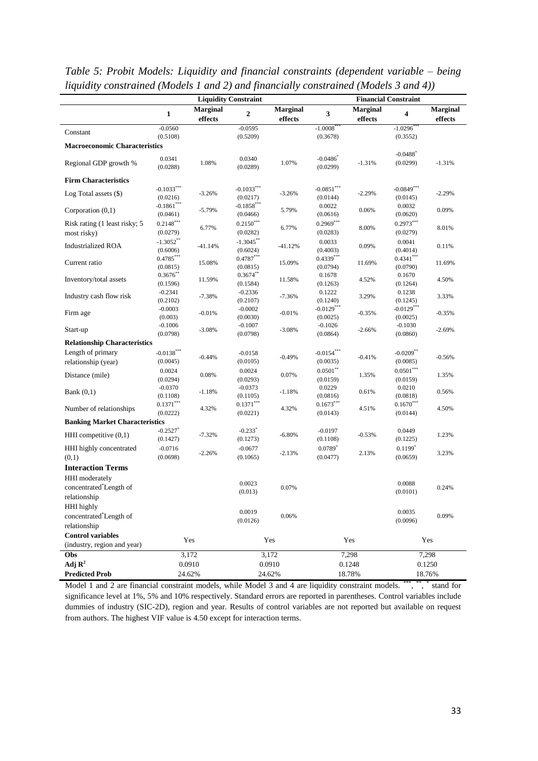|                                                                   |                                    |                     | <b>Liquidity Constraint</b>          |                            |                                    |                            | <b>Financial Constraint</b>        |                            |
|-------------------------------------------------------------------|------------------------------------|---------------------|--------------------------------------|----------------------------|------------------------------------|----------------------------|------------------------------------|----------------------------|
|                                                                   | 1                                  | Marginal<br>effects | $\mathbf{2}$                         | <b>Marginal</b><br>effects | 3                                  | <b>Marginal</b><br>effects | $\overline{\mathbf{4}}$            | <b>Marginal</b><br>effects |
| Constant                                                          | $-0.0560$<br>(0.5108)              |                     | $-0.0595$<br>(0.5209)                |                            | $-1.0008$ <sup>*</sup><br>(0.3678) |                            | $-1.0296$ <sup>*</sup>             |                            |
| <b>Macroeconomic Characteristics</b>                              |                                    |                     |                                      |                            |                                    |                            | (0.3552)                           |                            |
| Regional GDP growth %                                             | 0.0341<br>(0.0288)                 | 1.08%               | 0.0340<br>(0.0289)                   | 1.07%                      | $-0.0486$<br>(0.0299)              | $-1.31%$                   | $-0.0488$ <sup>*</sup><br>(0.0299) | $-1.31%$                   |
| <b>Firm Characteristics</b>                                       |                                    |                     |                                      |                            |                                    |                            |                                    |                            |
| Log Total assets $(\$)$                                           | $-0.1033***$<br>(0.0216)           | $-3.26%$            | $-0.1033***$<br>(0.0217)             | $-3.26%$                   | $-0.0851***$<br>(0.0144)           | $-2.29%$                   | $-0.0849***$<br>(0.0145)           | $-2.29%$                   |
| Corporation $(0,1)$                                               | $-0.1861$ ***<br>(0.0461)          | $-5.79%$            | $-0.1858^{\ast\ast\ast}$<br>(0.0466) | 5.79%                      | 0.0022<br>(0.0616)                 | 0.06%                      | 0.0032<br>(0.0620)                 | 0.09%                      |
| Risk rating (1 least risky; 5<br>most risky)                      | $0.2148***$<br>(0.0279)            | 6.77%               | $0.2150***$<br>(0.0282)              | 6.77%                      | $0.2969***$<br>(0.0283)            | 8.00%                      | $0.2973***$<br>(0.0279)            | 8.01%                      |
| <b>Industrialized ROA</b>                                         | $-1.3052**$<br>(0.6006)            | $-41.14%$           | $-1.3045$ **<br>(0.6024)             | $-41.12%$                  | 0.0033<br>(0.4003)                 | 0.09%                      | 0.0041<br>(0.4014)                 | 0.11%                      |
| Current ratio                                                     | $0.4785***$<br>(0.0815)            | 15.08%              | $0.4787***$<br>(0.0815)              | 15.09%                     | $0.4339***$<br>(0.0794)            | 11.69%                     | $0.4341***$<br>(0.0790)            | 11.69%                     |
| Inventory/total assets                                            | $0.3676**$<br>(0.1596)             | 11.59%              | $0.3674**$<br>(0.1584)               | 11.58%                     | 0.1678<br>(0.1263)                 | 4.52%                      | 0.1670<br>(0.1264)                 | 4.50%                      |
| Industry cash flow risk                                           | $-0.2341$<br>(0.2102)              | $-7.38%$            | $-0.2336$<br>(0.2107)                | $-7.36%$                   | 0.1222<br>(0.1240)                 | 3.29%                      | 0.1238<br>(0.1245)                 | 3.33%                      |
| Firm age                                                          | $-0.0003$<br>(0.003)               | $-0.01%$            | $-0.0002$<br>(0.0030)                | $-0.01%$                   | $-0.0129***$<br>(0.0025)           | $-0.35%$                   | $-0.0129***$<br>(0.0025)           | $-0.35%$                   |
| Start-up                                                          | $-0.1006$<br>(0.0798)              | $-3.08%$            | $-0.1007$<br>(0.0798)                | $-3.08%$                   | $-0.1026$<br>(0.0864)              | $-2.66%$                   | $-0.1030$<br>(0.0860)              | $-2.69%$                   |
| <b>Relationship Characteristics</b>                               |                                    |                     |                                      |                            |                                    |                            |                                    |                            |
| Length of primary<br>relationship (year)                          | $-0.0138***$<br>(0.0045)           | $-0.44%$            | $-0.0158$<br>(0.0105)                | $-0.49%$                   | $-0.0154***$<br>(0.0035)           | $-0.41%$                   | $-0.0209**$<br>(0.0085)            | $-0.56%$                   |
| Distance (mile)                                                   | 0.0024<br>(0.0294)                 | 0.08%               | 0.0024<br>(0.0293)                   | 0.07%                      | $0.0501**$<br>(0.0159)             | 1.35%                      | $0.0501***$<br>(0.0159)            | 1.35%                      |
| Bank $(0,1)$                                                      | $-0.0370$<br>(0.1108)              | $-1.18%$            | $-0.0373$<br>(0.1105)                | $-1.18%$                   | 0.0229<br>(0.0816)                 | 0.61%                      | 0.0210<br>(0.0818)                 | 0.56%                      |
| Number of relationships                                           | $0.1371***$<br>(0.0222)            | 4.32%               | $0.1371***$<br>(0.0221)              | 4.32%                      | $0.1673***$<br>(0.0143)            | 4.51%                      | $0.1670***$<br>(0.0144)            | 4.50%                      |
| <b>Banking Market Characteristics</b>                             |                                    |                     |                                      |                            |                                    |                            |                                    |                            |
| HHI competitive $(0,1)$                                           | $-0.2527$ <sup>*</sup><br>(0.1427) | $-7.32%$            | $-0.233$ <sup>*</sup><br>(0.1273)    | $-6.80%$                   | $-0.0197$<br>(0.1108)              | $-0.53%$                   | 0.0449<br>(0.1225)                 | 1.23%                      |
| HHI highly concentrated<br>(0,1)                                  | $-0.0716$<br>(0.0698)              | $-2.26%$            | $-0.0677$<br>(0.1065)                | $-2.13%$                   | $0.0789*$<br>(0.0477)              | 2.13%                      | $0.1199*$<br>(0.0659)              | 3.23%                      |
| <b>Interaction Terms</b>                                          |                                    |                     |                                      |                            |                                    |                            |                                    |                            |
| HHI moderately<br>concentrated <sup>*</sup> Length of             |                                    |                     | 0.0023                               | 0.07%                      |                                    |                            | 0.0088                             | 0.24%                      |
| relationship                                                      |                                    |                     | (0.013)                              |                            |                                    |                            | (0.0101)                           |                            |
| HHI highly<br>concentrated <sup>*</sup> Length of<br>relationship |                                    |                     | 0.0019<br>(0.0126)                   | 0.06%                      |                                    |                            | 0.0035<br>(0.0096)                 | 0.09%                      |
| <b>Control variables</b><br>(industry, region and year)           |                                    | Yes                 |                                      | Yes                        |                                    | Yes                        |                                    | Yes                        |
| Obs                                                               |                                    | 3,172               |                                      | 3,172                      |                                    | 7,298                      |                                    | 7,298                      |
| Adj $\mathbf{R}^2$                                                |                                    | 0.0910              |                                      | 0.0910                     |                                    | 0.1248                     |                                    | 0.1250                     |
| <b>Predicted Prob</b>                                             |                                    | 24.62%              |                                      | 24.62%                     | 18.78%                             |                            | 18.76%                             |                            |

*Table 5: Probit Models: Liquidity and financial constraints (dependent variable – being liquidity constrained (Models 1 and 2) and financially constrained (Models 3 and 4))*

Model 1 and 2 are financial constraint models, while Model 3 and 4 are liquidity constraint models. \*\*\*, \*\*, \* stand for significance level at 1%, 5% and 10% respectively. Standard errors are reported in parentheses. Control variables include dummies of industry (SIC-2D), region and year. Results of control variables are not reported but available on request from authors. The highest VIF value is 4.50 except for interaction terms.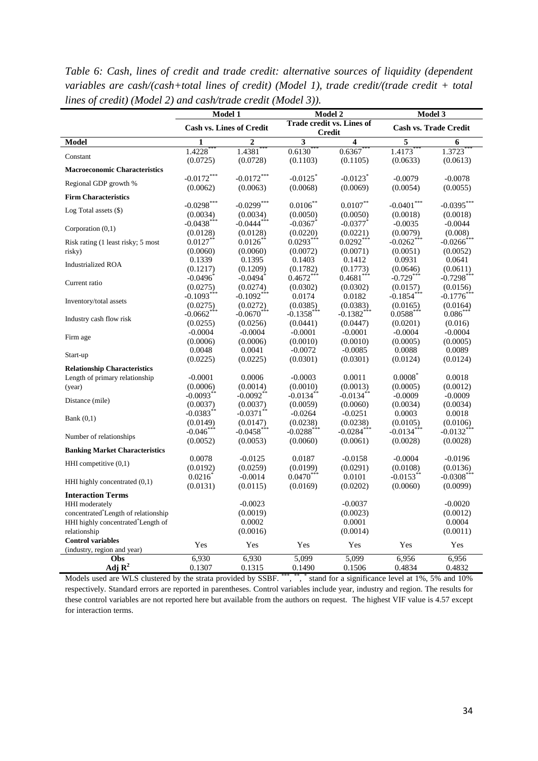|                                                                                                         | <b>Model 1</b>          |                                 |                        | Model 2                                    |                        | Model 3                         |  |  |
|---------------------------------------------------------------------------------------------------------|-------------------------|---------------------------------|------------------------|--------------------------------------------|------------------------|---------------------------------|--|--|
|                                                                                                         |                         | <b>Cash vs. Lines of Credit</b> |                        | Trade credit vs. Lines of<br><b>Credit</b> |                        | Cash vs. Trade Credit           |  |  |
| <b>Model</b>                                                                                            | 1                       | $\overline{2}$                  | 3                      | 4                                          | 5                      | 6                               |  |  |
| Constant                                                                                                | $1.4228*$               | 1.4381                          | $0.6130*$              | $0.6367***$                                | $1.4173*$              | 1.3723                          |  |  |
|                                                                                                         | (0.0725)                | (0.0728)                        | (0.1103)               | (0.1105)                                   | (0.0633)               | (0.0613)                        |  |  |
| <b>Macroeconomic Characteristics</b>                                                                    |                         |                                 |                        |                                            |                        |                                 |  |  |
| Regional GDP growth %                                                                                   | $-0.0172***$            | $-0.0172***$                    | $-0.0125$ <sup>*</sup> | $-0.0123$ <sup>*</sup>                     | $-0.0079$              | $-0.0078$                       |  |  |
|                                                                                                         | (0.0062)                | (0.0063)                        | (0.0068)               | (0.0069)                                   | (0.0054)               | (0.0055)                        |  |  |
| <b>Firm Characteristics</b>                                                                             |                         |                                 |                        |                                            |                        |                                 |  |  |
| Log Total assets (\$)                                                                                   | $-0.0298***$            | $-0.0299***$                    | $0.0106***$            | $0.0107***$                                | $-0.0401***$           | $-0.0395***$                    |  |  |
|                                                                                                         | (0.0034)                | (0.0034)                        | (0.0050)               | (0.0050)                                   | (0.0018)               | (0.0018)                        |  |  |
| Corporation $(0,1)$                                                                                     | $-0.0438$ <sup>*</sup>  | $-0.0444$ ***                   | $-0.0367$              | $-0.0377$                                  | $-0.0035$              | $-0.0044$                       |  |  |
|                                                                                                         | (0.0128)                | (0.0128)                        | (0.0220)               | (0.0221)                                   | (0.0079)               | (0.008)                         |  |  |
| Risk rating (1 least risky; 5 most                                                                      | $0.0127$ <sup>*</sup>   | $0.0126^{\degree}$              | $0.0293***$            | $0.0292***$                                | $-0.0262$              | $-0.0266$ <sup>*</sup>          |  |  |
| risky)                                                                                                  | (0.0060)                | (0.0060)                        | (0.0072)               | (0.0071)                                   | (0.0051)               | (0.0052)                        |  |  |
| <b>Industrialized ROA</b>                                                                               | 0.1339                  | 0.1395                          | 0.1403                 | 0.1412                                     | 0.0931                 | 0.0641                          |  |  |
|                                                                                                         | (0.1217)                | (0.1209)                        | (0.1782)               | (0.1773)                                   | (0.0646)               | (0.0611)                        |  |  |
| Current ratio                                                                                           | $-0.0496$ <sup>*</sup>  | $-0.0494$ <sup>*</sup>          | $0.4672***$            | 0.4681                                     | $-0.729***$            | $-0.7298$ <sup>*</sup>          |  |  |
|                                                                                                         | (0.0275)                | (0.0274)                        | (0.0302)               | (0.0302)                                   | (0.0157)               | (0.0156)                        |  |  |
| Inventory/total assets                                                                                  | $-0.1093$ <sup>*</sup>  | $-0.1092***$                    | 0.0174                 | 0.0182                                     | $-0.1854$ <sup>*</sup> | $-0.1776$                       |  |  |
|                                                                                                         | (0.0275)                | (0.0272)                        | (0.0385)               | (0.0383)                                   | (0.0165)               | (0.0164)                        |  |  |
| Industry cash flow risk                                                                                 | $-0.0662$               | $-0.0670***$                    | $-0.1358$ ***          | $-0.1382$ <sup>*</sup>                     | $0.0588***$            | $0.086*$                        |  |  |
|                                                                                                         | (0.0255)                | (0.0256)                        | (0.0441)               | (0.0447)                                   | (0.0201)               | (0.016)                         |  |  |
| Firm age                                                                                                | $-0.0004$               | $-0.0004$                       | $-0.0001$              | $-0.0001$                                  | $-0.0004$              | $-0.0004$                       |  |  |
|                                                                                                         | (0.0006)                | (0.0006)                        | (0.0010)               | (0.0010)                                   | (0.0005)               | (0.0005)                        |  |  |
| Start-up                                                                                                | 0.0048                  | 0.0041                          | $-0.0072$              | $-0.0085$                                  | 0.0088                 | 0.0089                          |  |  |
|                                                                                                         | (0.0225)                | (0.0225)                        | (0.0301)               | (0.0301)                                   | (0.0124)               | (0.0124)                        |  |  |
| <b>Relationship Characteristics</b>                                                                     |                         |                                 |                        |                                            |                        |                                 |  |  |
| Length of primary relationship                                                                          | $-0.0001$               | 0.0006                          | $-0.0003$              | 0.0011                                     | $0.0008^*$             | 0.0018                          |  |  |
| (year)                                                                                                  | (0.0006)                | (0.0014)                        | (0.0010)               | (0.0013)                                   | (0.0005)               | (0.0012)                        |  |  |
| Distance (mile)                                                                                         | $-0.0093$ <sup>**</sup> | $-0.0092$ <sup>*</sup>          | $-0.0134$ <sup>*</sup> | $-0.0134$                                  | $-0.0009$              | $-0.0009$                       |  |  |
|                                                                                                         | (0.0037)                | (0.0037)                        | (0.0059)               | (0.0060)                                   | (0.0034)               | (0.0034)                        |  |  |
| Bank $(0,1)$                                                                                            | $-0.0383$ **            | $-0.0371$ **                    | $-0.0264$              | $-0.0251$                                  | 0.0003                 | 0.0018                          |  |  |
|                                                                                                         | (0.0149)                | (0.0147)                        | (0.0238)               | (0.0238)                                   | (0.0105)               | (0.0106)                        |  |  |
| Number of relationships                                                                                 | $-0.046***$             | $-0.0458$ ***                   | $-0.0288$ ***          | $-0.0284$ $\hspace{-1.5mm}^{\ast\ast\ast}$ | $-0.0134***$           | $-0.0132$ <sup>*</sup>          |  |  |
|                                                                                                         | (0.0052)                | (0.0053)                        | (0.0060)               | (0.0061)                                   | (0.0028)               | (0.0028)                        |  |  |
| <b>Banking Market Characteristics</b>                                                                   |                         |                                 |                        |                                            |                        |                                 |  |  |
| HHI competitive $(0,1)$                                                                                 | 0.0078                  | $-0.0125$                       | 0.0187                 | $-0.0158$                                  | $-0.0004$              | $-0.0196$                       |  |  |
|                                                                                                         | (0.0192)                | (0.0259)                        | (0.0199)               | (0.0291)                                   | (0.0108)               | (0.0136)                        |  |  |
| HHI highly concentrated $(0,1)$                                                                         | $0.0216^{\degree}$      | $-0.0014$                       | $0.0470***$            | 0.0101                                     | $-0.0153$ <sup>*</sup> | $-0.0308$ <sup>*</sup>          |  |  |
|                                                                                                         | (0.0131)                | (0.0115)                        | (0.0169)               | (0.0202)                                   | (0.0060)               | (0.0099)                        |  |  |
| <b>Interaction Terms</b>                                                                                |                         |                                 |                        |                                            |                        |                                 |  |  |
| HHI moderately<br>concentrated <sup>*</sup> Length of relationship<br>HHI highly concentrated*Length of |                         | $-0.0023$<br>(0.0019)<br>0.0002 |                        | $-0.0037$<br>(0.0023)<br>0.0001            |                        | $-0.0020$<br>(0.0012)<br>0.0004 |  |  |
| relationship                                                                                            |                         | (0.0016)                        |                        | (0.0014)                                   |                        | (0.0011)                        |  |  |
| <b>Control variables</b><br>(industry, region and year)                                                 | Yes                     | Yes                             | Yes                    | Yes                                        | Yes                    | Yes                             |  |  |
| Obs                                                                                                     | 6,930                   | 6.930                           | 5.099                  | 5.099                                      | 6,956                  | 6,956                           |  |  |
| Adj $\mathbf{R}^2$                                                                                      | 0.1307                  | 0.1315                          | 0.1490                 | 0.1506                                     | 0.4834                 | 0.4832                          |  |  |

*Table 6: Cash, lines of credit and trade credit: alternative sources of liquidity (dependent variables are cash/(cash+total lines of credit) (Model 1), trade credit/(trade credit + total lines of credit) (Model 2) and cash/trade credit (Model 3)).*

Models used are WLS clustered by the strata provided by SSBF.<sup>\*\*\*\*</sup>,\*\*\*,\*\* stand for a significance level at 1%, 5% and 10% respectively. Standard errors are reported in parentheses. Control variables include year, industry and region. The results for these control variables are not reported here but available from the authors on request. The highest VIF value is 4.57 except for interaction terms.